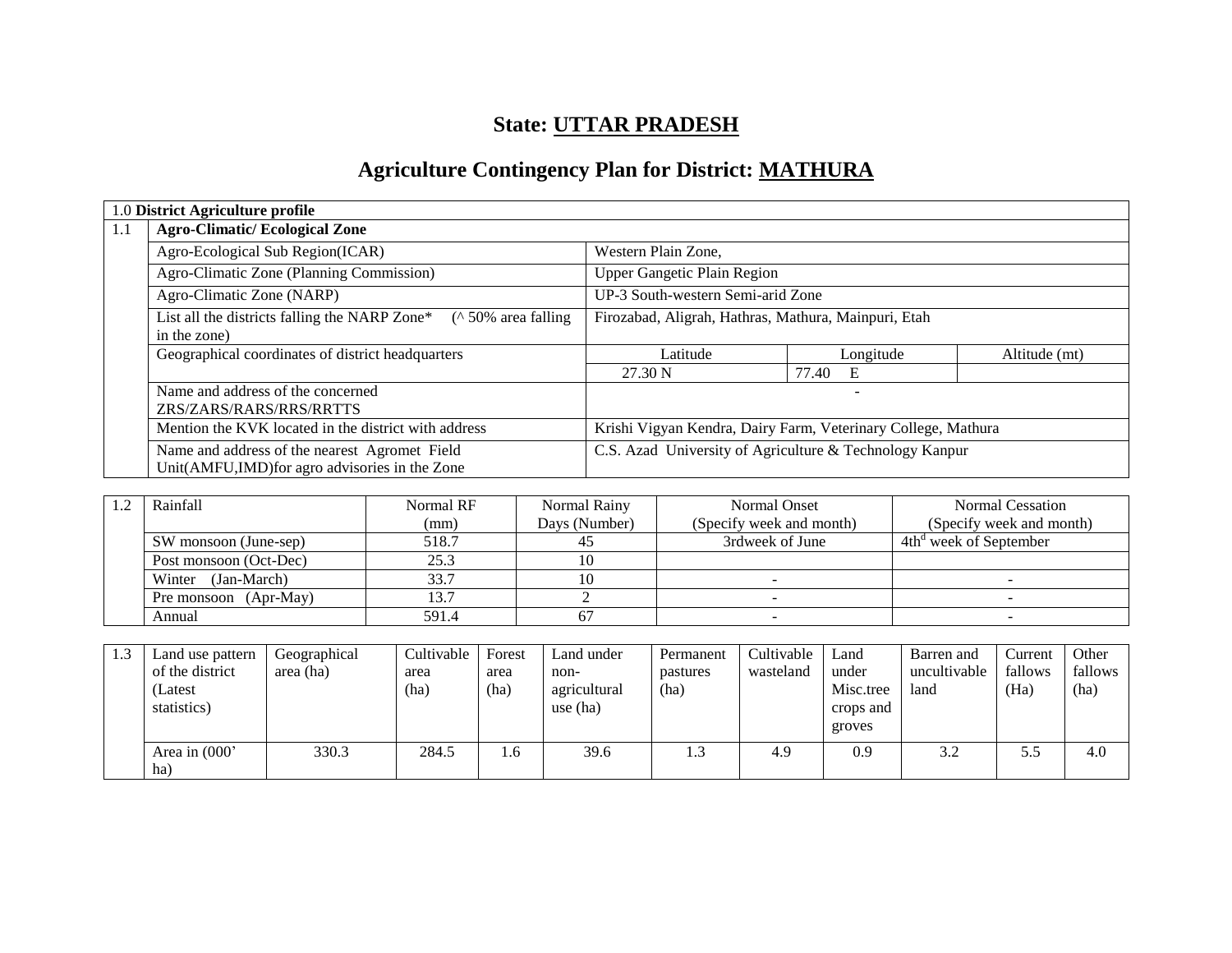## **State: UTTAR PRADESH**

## **Agriculture Contingency Plan for District: MATHURA**

|     | 1.0 District Agriculture profile                                                                |                                                               |                                                         |               |  |  |  |  |
|-----|-------------------------------------------------------------------------------------------------|---------------------------------------------------------------|---------------------------------------------------------|---------------|--|--|--|--|
| 1.1 | <b>Agro-Climatic/Ecological Zone</b>                                                            |                                                               |                                                         |               |  |  |  |  |
|     | Agro-Ecological Sub Region(ICAR)                                                                | Western Plain Zone,                                           |                                                         |               |  |  |  |  |
|     | Agro-Climatic Zone (Planning Commission)                                                        | <b>Upper Gangetic Plain Region</b>                            |                                                         |               |  |  |  |  |
|     | Agro-Climatic Zone (NARP)                                                                       | UP-3 South-western Semi-arid Zone                             |                                                         |               |  |  |  |  |
|     | List all the districts falling the NARP Zone*<br>$($ \ 50\% area falling<br>in the zone)        |                                                               | Firozabad, Aligrah, Hathras, Mathura, Mainpuri, Etah    |               |  |  |  |  |
|     | Geographical coordinates of district headquarters                                               | Latitude                                                      | Longitude                                               | Altitude (mt) |  |  |  |  |
|     |                                                                                                 | 27.30 N                                                       | 77.40<br>Е                                              |               |  |  |  |  |
|     | Name and address of the concerned<br>ZRS/ZARS/RARS/RRS/RRTTS                                    |                                                               |                                                         |               |  |  |  |  |
|     | Mention the KVK located in the district with address                                            | Krishi Vigyan Kendra, Dairy Farm, Veterinary College, Mathura |                                                         |               |  |  |  |  |
|     | Name and address of the nearest Agromet Field<br>Unit(AMFU,IMD) for agro advisories in the Zone |                                                               | C.S. Azad University of Agriculture & Technology Kanpur |               |  |  |  |  |

| Rainfall               | Normal RF | Normal Rainy  | Normal Onset             | Normal Cessation                   |
|------------------------|-----------|---------------|--------------------------|------------------------------------|
|                        | (mm)      | Days (Number) | (Specify week and month) | (Specify week and month)           |
| SW monsoon (June-sep)  | 518.7     |               | 3rdweek of June          | 4th <sup>d</sup> week of September |
| Post monsoon (Oct-Dec) | 25.3      |               |                          |                                    |
| (Jan-March)<br>Winter  | 33.7      |               |                          |                                    |
| Pre monsoon (Apr-May)  | 13.7      |               |                          |                                    |
| Annual                 | 591.4     |               |                          |                                    |

| 1.3 | Land use pattern<br>of the district<br>(Latest<br>statistics) | Geographical<br>area (ha) | Cultivable<br>area<br>(ha) | Forest<br>area<br>(ha) | Land under<br>non-<br>agricultural<br>use $(ha)$ | Permanent<br>pastures<br>(ha) | Cultivable<br>wasteland | Land<br>under<br>Misc.tree<br>crops and<br>groves | Barren and<br>uncultivable<br>land | Current<br>fallows<br>(Ha) | Other<br>fallows<br>(ha) |
|-----|---------------------------------------------------------------|---------------------------|----------------------------|------------------------|--------------------------------------------------|-------------------------------|-------------------------|---------------------------------------------------|------------------------------------|----------------------------|--------------------------|
|     | Area in $(000)$<br>ha)                                        | 330.3                     | 284.5                      | 1.6                    | 39.6                                             | 1.3                           | 4.9                     | 0.9                                               | 3.2                                | 5.5                        | 4.0                      |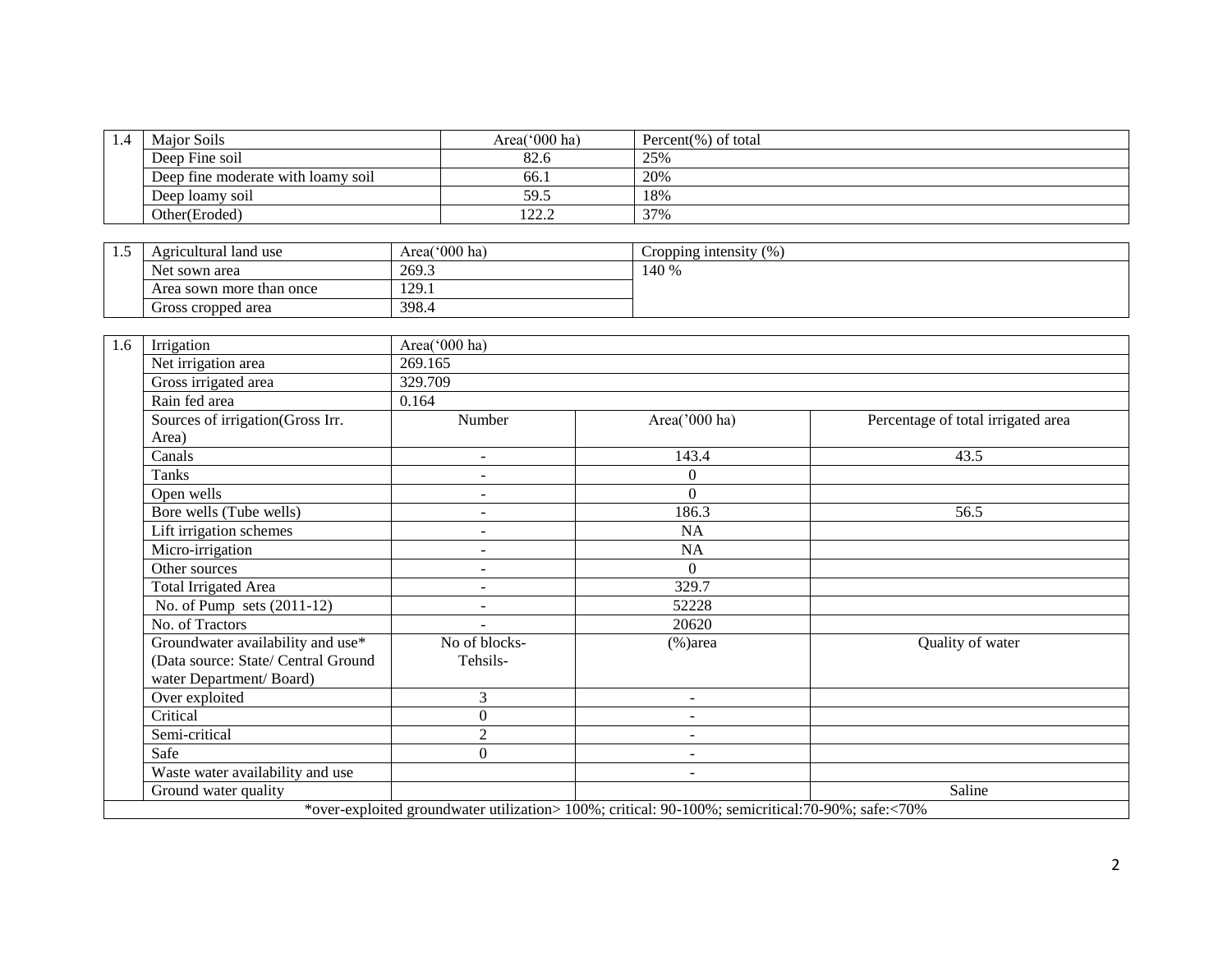| 1.4 | Maior Soils                        | Area( $000$ ha) | Percent(%) of total |
|-----|------------------------------------|-----------------|---------------------|
|     | Deep Fine soil                     | 82.6            | 25%                 |
|     | Deep fine moderate with loamy soil | -66.1           | 20%                 |
|     | Deep loamy soil                    | 59.5            | 18%                 |
|     | Other(Eroded)                      | ר ררו<br>44.L   | 37%                 |

| . | Agricultural land use    | Area('000 ha)       | (0)<br>Cropping intensity |
|---|--------------------------|---------------------|---------------------------|
|   | Net sown area            | 269.3               | 140 %                     |
|   | Area sown more than once | 100<br>7Ý.<br>1/1/1 |                           |
|   | Gross cropped area       | 398.4               |                           |

| 1.6 | Irrigation                          | Area('000 ha)  |                                                                                                   |                                    |
|-----|-------------------------------------|----------------|---------------------------------------------------------------------------------------------------|------------------------------------|
|     | Net irrigation area                 | 269.165        |                                                                                                   |                                    |
|     | Gross irrigated area                | 329.709        |                                                                                                   |                                    |
|     | Rain fed area                       | 0.164          |                                                                                                   |                                    |
|     | Sources of irrigation(Gross Irr.    | Number         | Area('000 ha)                                                                                     | Percentage of total irrigated area |
|     | Area)                               |                |                                                                                                   |                                    |
|     | Canals                              | $\sim$         | 143.4                                                                                             | 43.5                               |
|     | Tanks                               | $\sim$         | 0                                                                                                 |                                    |
|     | Open wells                          |                | $\Omega$                                                                                          |                                    |
|     | Bore wells (Tube wells)             |                | 186.3                                                                                             | 56.5                               |
|     | Lift irrigation schemes             | $\sim$         | <b>NA</b>                                                                                         |                                    |
|     | Micro-irrigation                    | $\sim$         | NA                                                                                                |                                    |
|     | Other sources                       | $\sim$         | $\Omega$                                                                                          |                                    |
|     | Total Irrigated Area                |                | 329.7                                                                                             |                                    |
|     | No. of Pump sets $(2011-12)$        |                | 52228                                                                                             |                                    |
|     | No. of Tractors                     |                | 20620                                                                                             |                                    |
|     | Groundwater availability and use*   | No of blocks-  | $%$ )area                                                                                         | Quality of water                   |
|     | (Data source: State/ Central Ground | Tehsils-       |                                                                                                   |                                    |
|     | water Department/Board)             |                |                                                                                                   |                                    |
|     | Over exploited                      | 3              | $\overline{\phantom{a}}$                                                                          |                                    |
|     | Critical                            | $\theta$       | $\sim$                                                                                            |                                    |
|     | Semi-critical                       | $\overline{2}$ | $\sim$                                                                                            |                                    |
|     | Safe                                | $\Omega$       | $\overline{\phantom{a}}$                                                                          |                                    |
|     | Waste water availability and use    |                | $\overline{\phantom{a}}$                                                                          |                                    |
|     | Ground water quality                |                |                                                                                                   | Saline                             |
|     |                                     |                | *over-exploited groundwater utilization> 100%; critical: 90-100%; semicritical: 70-90%; safe:<70% |                                    |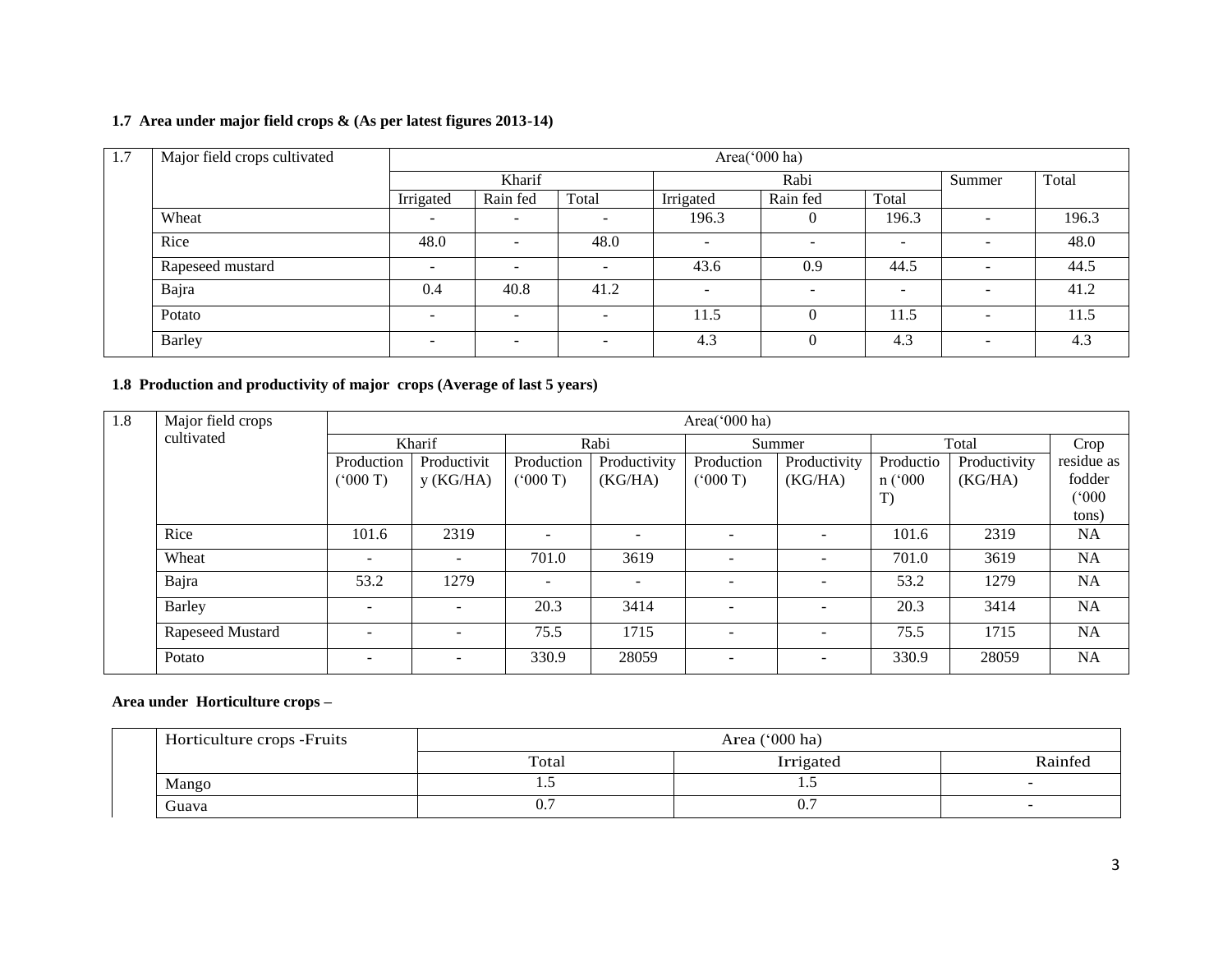## **1.7 Area under major field crops & (As per latest figures 2013-14)**

| 1.7 | Major field crops cultivated | Area('000 ha) |                          |                          |                          |                          |                          |                          |       |
|-----|------------------------------|---------------|--------------------------|--------------------------|--------------------------|--------------------------|--------------------------|--------------------------|-------|
|     |                              |               | Kharif                   |                          | Rabi                     |                          |                          | Summer                   | Total |
|     |                              | Irrigated     | Rain fed                 | Total                    | Irrigated                | Rain fed                 | Total                    |                          |       |
|     | Wheat                        | -             | $\overline{\phantom{0}}$ | $\overline{\phantom{0}}$ | 196.3                    | $\Omega$                 | 196.3                    | $\overline{\phantom{a}}$ | 196.3 |
|     | Rice                         | 48.0          | -                        | 48.0                     | $\overline{\phantom{0}}$ | $\overline{\phantom{a}}$ | $\overline{\phantom{0}}$ | $\overline{\phantom{0}}$ | 48.0  |
|     | Rapeseed mustard             | -             | $\overline{\phantom{0}}$ | $\overline{\phantom{0}}$ | 43.6                     | 0.9                      | 44.5                     | $\overline{\phantom{0}}$ | 44.5  |
|     | Bajra                        | 0.4           | 40.8                     | 41.2                     | $\overline{\phantom{0}}$ | $\overline{\phantom{0}}$ | $\overline{\phantom{0}}$ | $\overline{\phantom{a}}$ | 41.2  |
|     | Potato                       | -             | -                        | $\overline{\phantom{a}}$ | 11.5                     | $\Omega$                 | 11.5                     | $\overline{\phantom{a}}$ | 11.5  |
|     | Barley                       |               |                          | $\overline{\phantom{a}}$ | 4.3                      | $\Omega$                 | 4.3                      | -                        | 4.3   |

## **1.8 Production and productivity of major crops (Average of last 5 years)**

| 1.8 | Major field crops |                          |             |                          |              | Area('000 ha) |                          |             |              |            |
|-----|-------------------|--------------------------|-------------|--------------------------|--------------|---------------|--------------------------|-------------|--------------|------------|
|     | cultivated        |                          | Kharif      |                          | Rabi         |               | Summer                   |             | Total        | Crop       |
|     |                   | Production               | Productivit | Production               | Productivity | Production    | Productivity             | Productio   | Productivity | residue as |
|     |                   | (000T)                   | y(KG/HA)    | (000T)                   | (KG/HA)      | (5000T)       | (KG/HA)                  | $n$ ( $000$ | (KG/HA)      | fodder     |
|     |                   |                          |             |                          |              |               |                          | T)          |              | (000)      |
|     |                   |                          |             |                          |              |               |                          |             |              | tons)      |
|     | Rice              | 101.6                    | 2319        | $\overline{\phantom{a}}$ |              |               | $\overline{\phantom{a}}$ | 101.6       | 2319         | <b>NA</b>  |
|     | Wheat             | $\overline{\phantom{a}}$ |             | 701.0                    | 3619         |               | $\overline{a}$           | 701.0       | 3619         | <b>NA</b>  |
|     | Bajra             | 53.2                     | 1279        | $\sim$                   |              |               | $\overline{\phantom{a}}$ | 53.2        | 1279         | <b>NA</b>  |
|     | <b>Barley</b>     | $\sim$                   |             | 20.3                     | 3414         |               | $\overline{\phantom{a}}$ | 20.3        | 3414         | <b>NA</b>  |
|     | Rapeseed Mustard  | $\overline{\phantom{0}}$ |             | 75.5                     | 1715         |               | $\overline{\phantom{a}}$ | 75.5        | 1715         | <b>NA</b>  |
|     | Potato            | $\overline{\phantom{0}}$ | -           | 330.9                    | 28059        |               | $\overline{\phantom{a}}$ | 330.9       | 28059        | <b>NA</b>  |

## **Area under Horticulture crops –**

| Horticulture crops - Fruits | Area $('000 ha)$ |           |         |  |  |  |
|-----------------------------|------------------|-----------|---------|--|--|--|
|                             | Total            | Irrigated | Rainfec |  |  |  |
| Mango                       | ن .              | .         |         |  |  |  |
| Guava                       | v.               | v.        |         |  |  |  |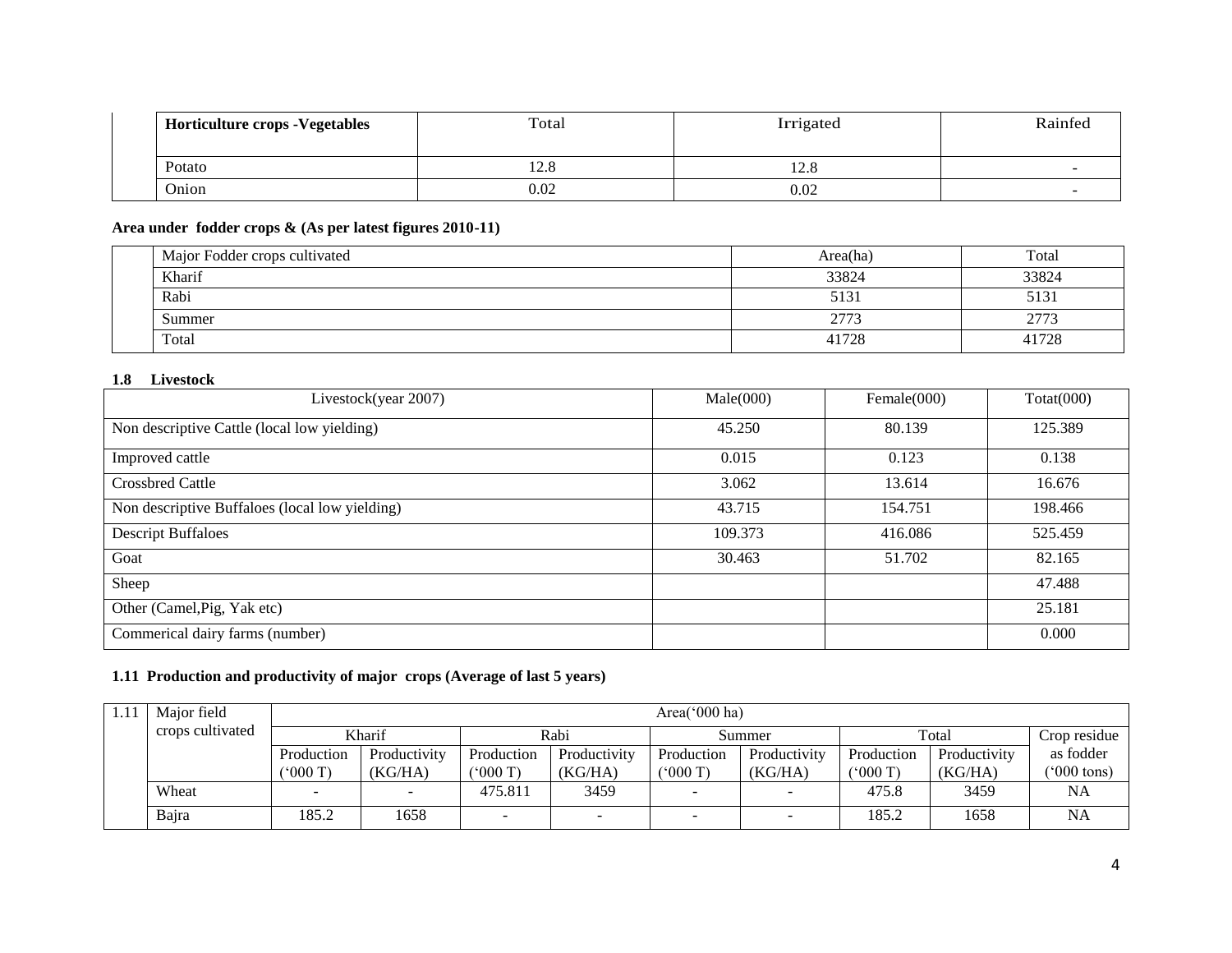| <b>Horticulture crops - Vegetables</b> | Total | Irrigated | Rainfed |
|----------------------------------------|-------|-----------|---------|
| Potato                                 | 14.U  | 14.C      |         |
| <b>Onion</b>                           | 0.02  | 0.02      |         |

## **Area under fodder crops & (As per latest figures 2010-11)**

| Major Fodder crops cultivated | Area(ha) | Total        |
|-------------------------------|----------|--------------|
| Kharif                        | 33824    | 33824        |
| Rabi                          | 5131     | 2131         |
| Summer                        | 2773     | 277'<br>211: |
| Total                         | 41728    | 41728        |

### **1.8 Livestock**

| Livestock(year 2007)                           | Male(000) | Female $(000)$ | $\text{Total}(000)$ |
|------------------------------------------------|-----------|----------------|---------------------|
| Non descriptive Cattle (local low yielding)    | 45.250    | 80.139         | 125.389             |
| Improved cattle                                | 0.015     | 0.123          | 0.138               |
| <b>Crossbred Cattle</b>                        | 3.062     | 13.614         | 16.676              |
| Non descriptive Buffaloes (local low yielding) | 43.715    | 154.751        | 198.466             |
| <b>Descript Buffaloes</b>                      | 109.373   | 416.086        | 525.459             |
| Goat                                           | 30.463    | 51.702         | 82.165              |
| Sheep                                          |           |                | 47.488              |
| Other (Camel, Pig, Yak etc)                    |           |                | 25.181              |
| Commerical dairy farms (number)                |           |                | 0.000               |

## **1.11 Production and productivity of major crops (Average of last 5 years)**

| Major field      |            | Area( $000$ ha) |            |                          |                 |              |            |              |                       |  |  |
|------------------|------------|-----------------|------------|--------------------------|-----------------|--------------|------------|--------------|-----------------------|--|--|
| crops cultivated |            | Kharif          |            | Rabi                     |                 | Summer       |            | Total        | Crop residue          |  |  |
|                  | Production | Productivity    | Production | Productivity             | Production      | Productivity | Production | Productivity | as fodder             |  |  |
|                  | (5000T)    | (KG/HA)         | (5000T)    | (KG/HA)                  | $^{\circ}000$ T | (KG/HA)      | (5000T)    | (KG/HA)      | $(5000 \text{ tons})$ |  |  |
| Wheat            |            |                 | 475.811    | 3459                     |                 |              | 475.8      | 3459         | <b>NA</b>             |  |  |
| Bajra            | 185.2      | 1658            | -          | $\overline{\phantom{a}}$ | -               |              | 185.2      | 1658         | <b>NA</b>             |  |  |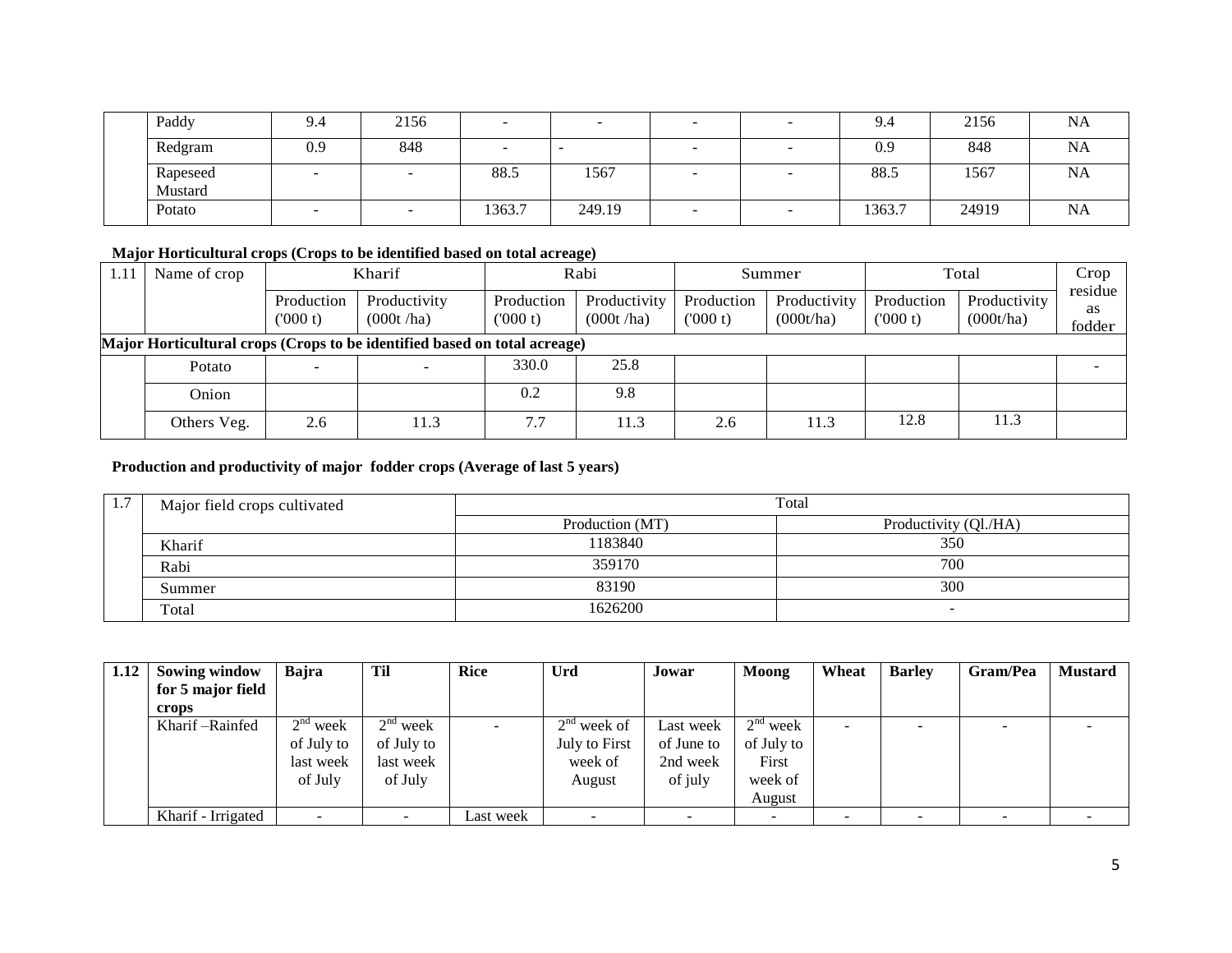| Paddy               | 9.4 | 2156 |        |        |                          | 9.4    | 2156  | <b>NA</b> |
|---------------------|-----|------|--------|--------|--------------------------|--------|-------|-----------|
| Redgram             | 0.9 | 848  |        | $\sim$ |                          | 0.9    | 848   | NA        |
| Rapeseed<br>Mustard |     |      | 88.5   | 1567   |                          | 88.5   | 1567  | <b>NA</b> |
| Potato              |     |      | 1363.7 | 249.19 | $\overline{\phantom{a}}$ | 1363.7 | 24919 | NA        |

## **Major Horticultural crops (Crops to be identified based on total acreage)**

| 1.11                                                                      | Name of crop |                       | Kharif                    |                        | Rabi                      |                       | Summer                    |                       | Total                     |                         |
|---------------------------------------------------------------------------|--------------|-----------------------|---------------------------|------------------------|---------------------------|-----------------------|---------------------------|-----------------------|---------------------------|-------------------------|
|                                                                           |              | Production<br>(000 t) | Productivity<br>(000t/ha) | Production<br>('000 t) | Productivity<br>(000t/ha) | Production<br>(000 t) | Productivity<br>(000t/ha) | Production<br>(000 t) | Productivity<br>(000t/ha) | residue<br>as<br>fodder |
| Major Horticultural crops (Crops to be identified based on total acreage) |              |                       |                           |                        |                           |                       |                           |                       |                           |                         |
|                                                                           | Potato       |                       |                           | 330.0                  | 25.8                      |                       |                           |                       |                           |                         |
|                                                                           | Onion        |                       |                           | 0.2                    | 9.8                       |                       |                           |                       |                           |                         |
|                                                                           | Others Veg.  | 2.6                   | 11.3                      | 7.7                    | 11.3                      | 2.6                   | 11.3                      | 12.8                  | 11.3                      |                         |

## **Production and productivity of major fodder crops (Average of last 5 years)**

| 1., | Major field crops cultivated |                 | Total                 |
|-----|------------------------------|-----------------|-----------------------|
|     |                              | Production (MT) | Productivity (Ql./HA) |
|     | Kharif                       | 1183840         | 350                   |
|     | Rabi                         | 359170          | 700                   |
|     | Summer                       | 83190           | 300                   |
|     | Total                        | 1626200         |                       |

| 1.12 | Sowing window      | Bajra      | Til        | <b>Rice</b> | Urd           | Jowar      | Moong      | Wheat | <b>Barley</b> | Gram/Pea | <b>Mustard</b> |
|------|--------------------|------------|------------|-------------|---------------|------------|------------|-------|---------------|----------|----------------|
|      | for 5 major field  |            |            |             |               |            |            |       |               |          |                |
|      | crops              |            |            |             |               |            |            |       |               |          |                |
|      | Kharif – Rainfed   | $2nd$ week | $2nd$ week |             | $2nd$ week of | Last week  | $2nd$ week | -     |               |          |                |
|      |                    | of July to | of July to |             | July to First | of June to | of July to |       |               |          |                |
|      |                    | last week  | last week  |             | week of       | 2nd week   | First      |       |               |          |                |
|      |                    | of July    | of July    |             | August        | of july    | week of    |       |               |          |                |
|      |                    |            |            |             |               |            | August     |       |               |          |                |
|      | Kharif - Irrigated |            |            | Last week   |               |            |            |       |               |          |                |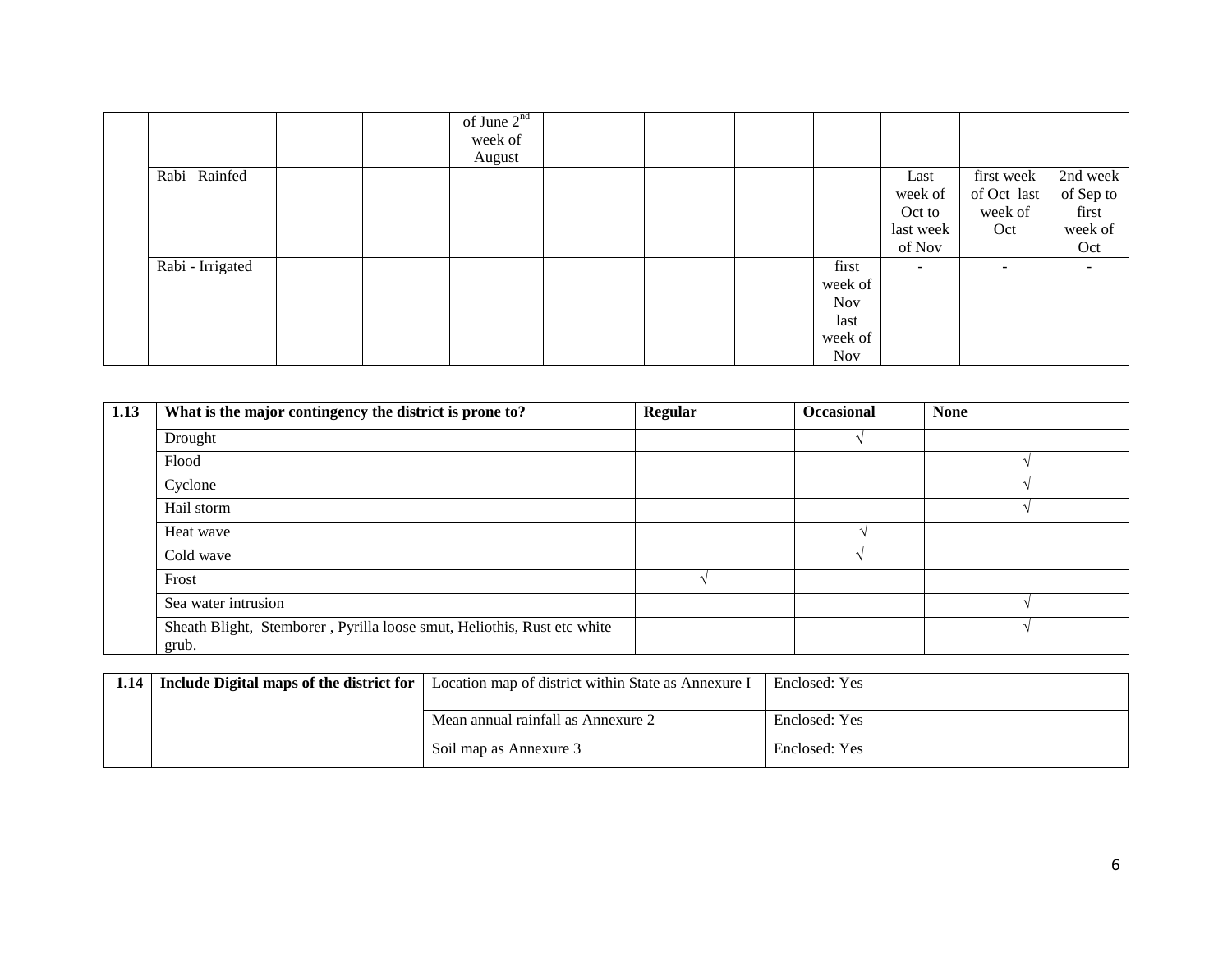|                  |  | of June $2^{nd}$ |  |            |                          |             |           |
|------------------|--|------------------|--|------------|--------------------------|-------------|-----------|
|                  |  | week of          |  |            |                          |             |           |
|                  |  | August           |  |            |                          |             |           |
| Rabi-Rainfed     |  |                  |  |            | Last                     | first week  | 2nd week  |
|                  |  |                  |  |            | week of                  | of Oct last | of Sep to |
|                  |  |                  |  |            | Oct to                   | week of     | first     |
|                  |  |                  |  |            | last week                | Oct         | week of   |
|                  |  |                  |  |            | of Nov                   |             | Oct       |
| Rabi - Irrigated |  |                  |  | first      | $\overline{\phantom{a}}$ |             |           |
|                  |  |                  |  | week of    |                          |             |           |
|                  |  |                  |  | <b>Nov</b> |                          |             |           |
|                  |  |                  |  | last       |                          |             |           |
|                  |  |                  |  | week of    |                          |             |           |
|                  |  |                  |  | <b>Nov</b> |                          |             |           |

| $\overline{1.13}$ | What is the major contingency the district is prone to?                          | <b>Regular</b> | <b>Occasional</b> | <b>None</b> |
|-------------------|----------------------------------------------------------------------------------|----------------|-------------------|-------------|
|                   | Drought                                                                          |                |                   |             |
|                   | Flood                                                                            |                |                   |             |
|                   | Cyclone                                                                          |                |                   |             |
|                   | Hail storm                                                                       |                |                   |             |
|                   | Heat wave                                                                        |                |                   |             |
|                   | Cold wave                                                                        |                |                   |             |
|                   | Frost                                                                            |                |                   |             |
|                   | Sea water intrusion                                                              |                |                   |             |
|                   | Sheath Blight, Stemborer, Pyrilla loose smut, Heliothis, Rust etc white<br>grub. |                |                   |             |

| 1.14 | <b>Include Digital maps of the district for</b> Location map of district within State as Annexure I | Enclosed: Yes |
|------|-----------------------------------------------------------------------------------------------------|---------------|
|      | Mean annual rainfall as Annexure 2                                                                  | Enclosed: Yes |
|      | Soil map as Annexure 3                                                                              | Enclosed: Yes |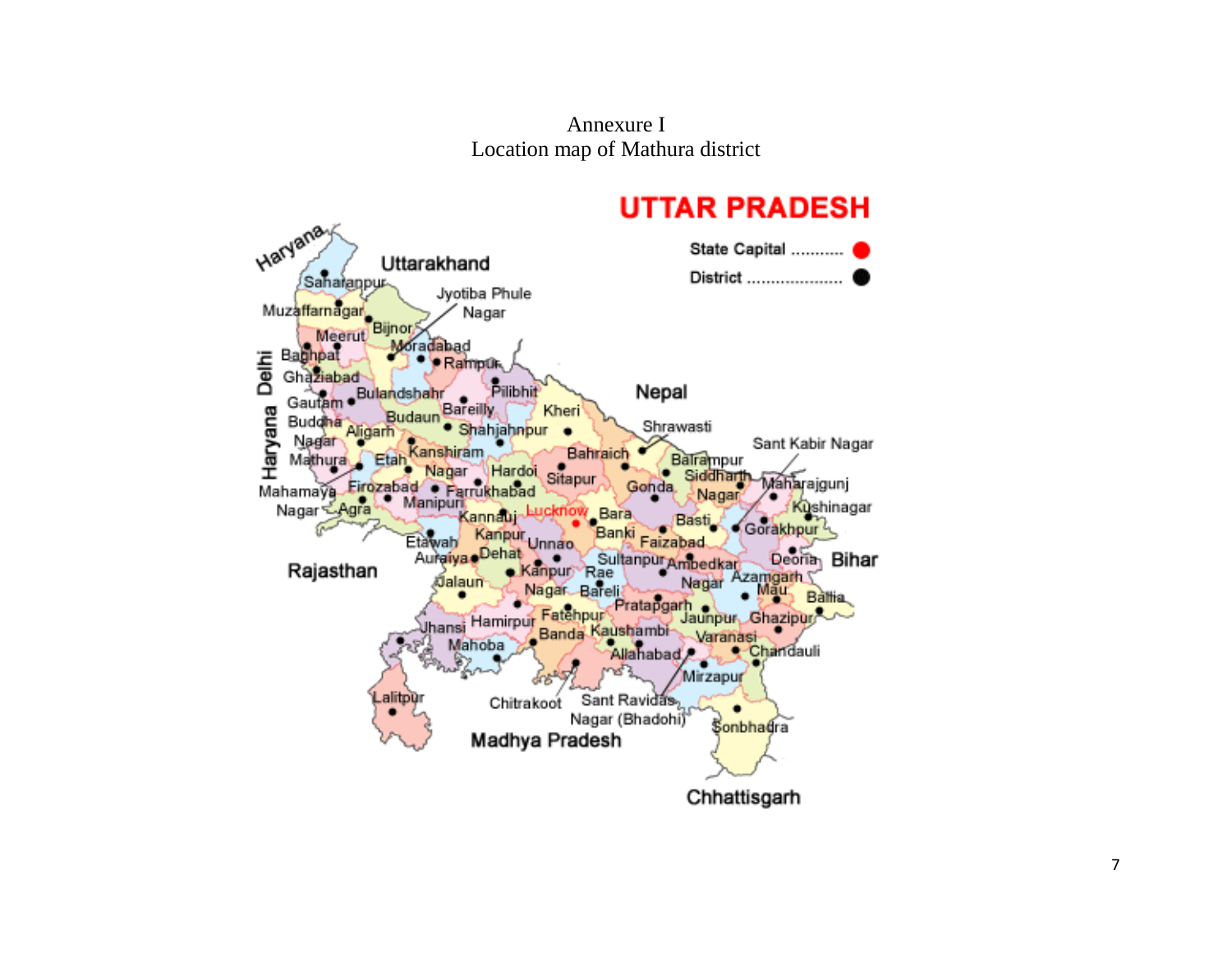Annexure I Location map of Mathura district

# **UTTAR PRADESH**

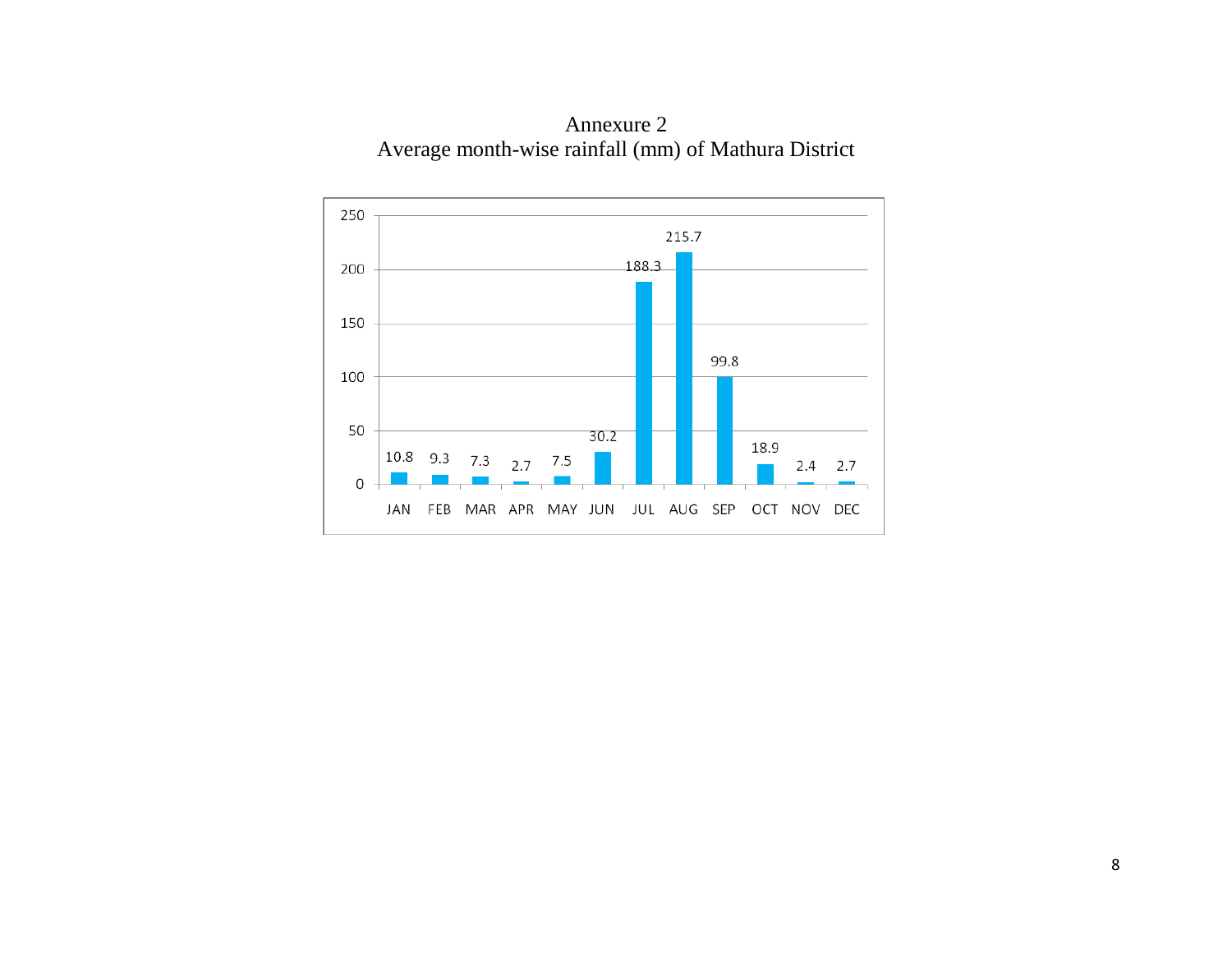

Annexure 2 Average month-wise rainfall (mm) of Mathura District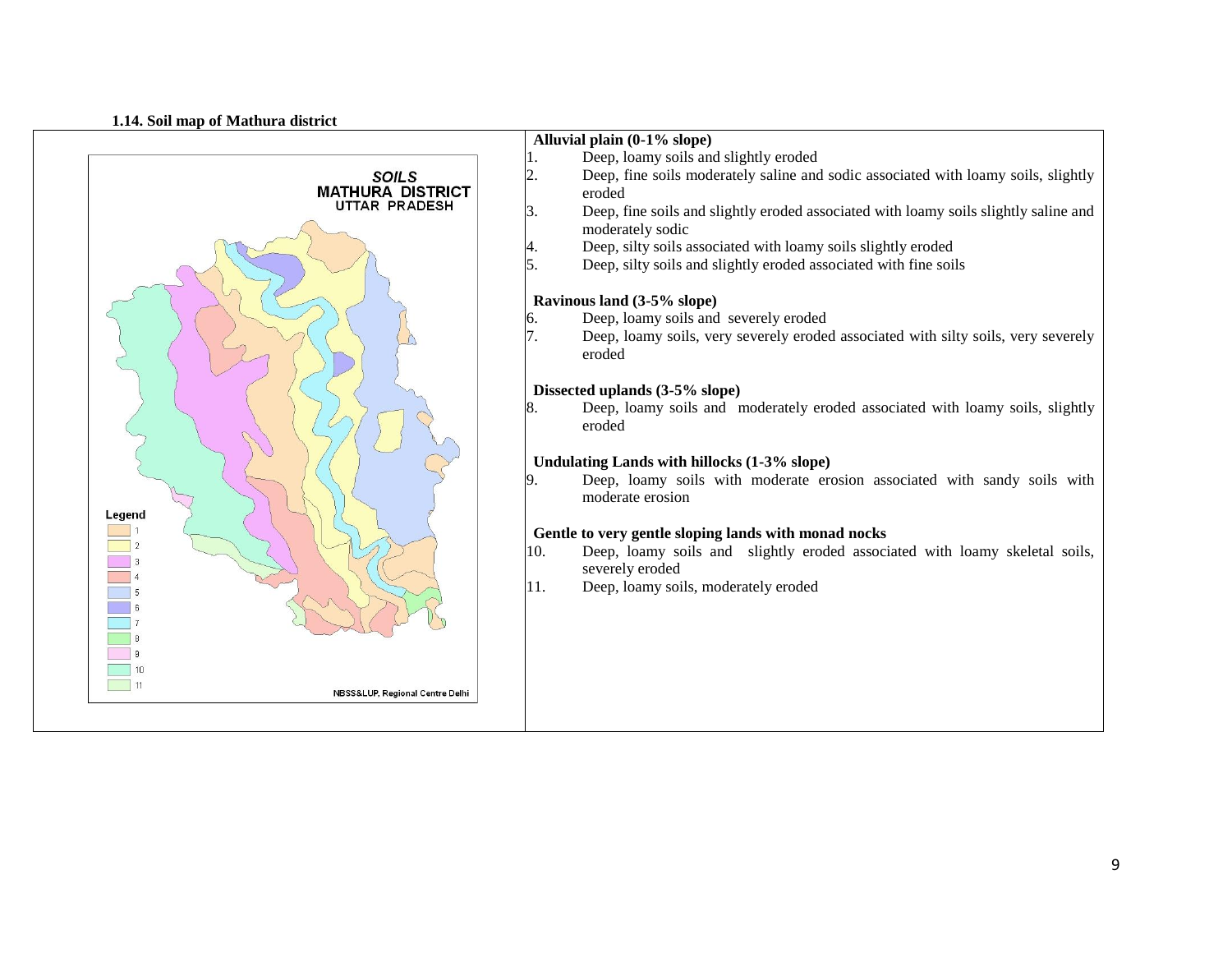#### **1.14. Soil map of Mathura district**

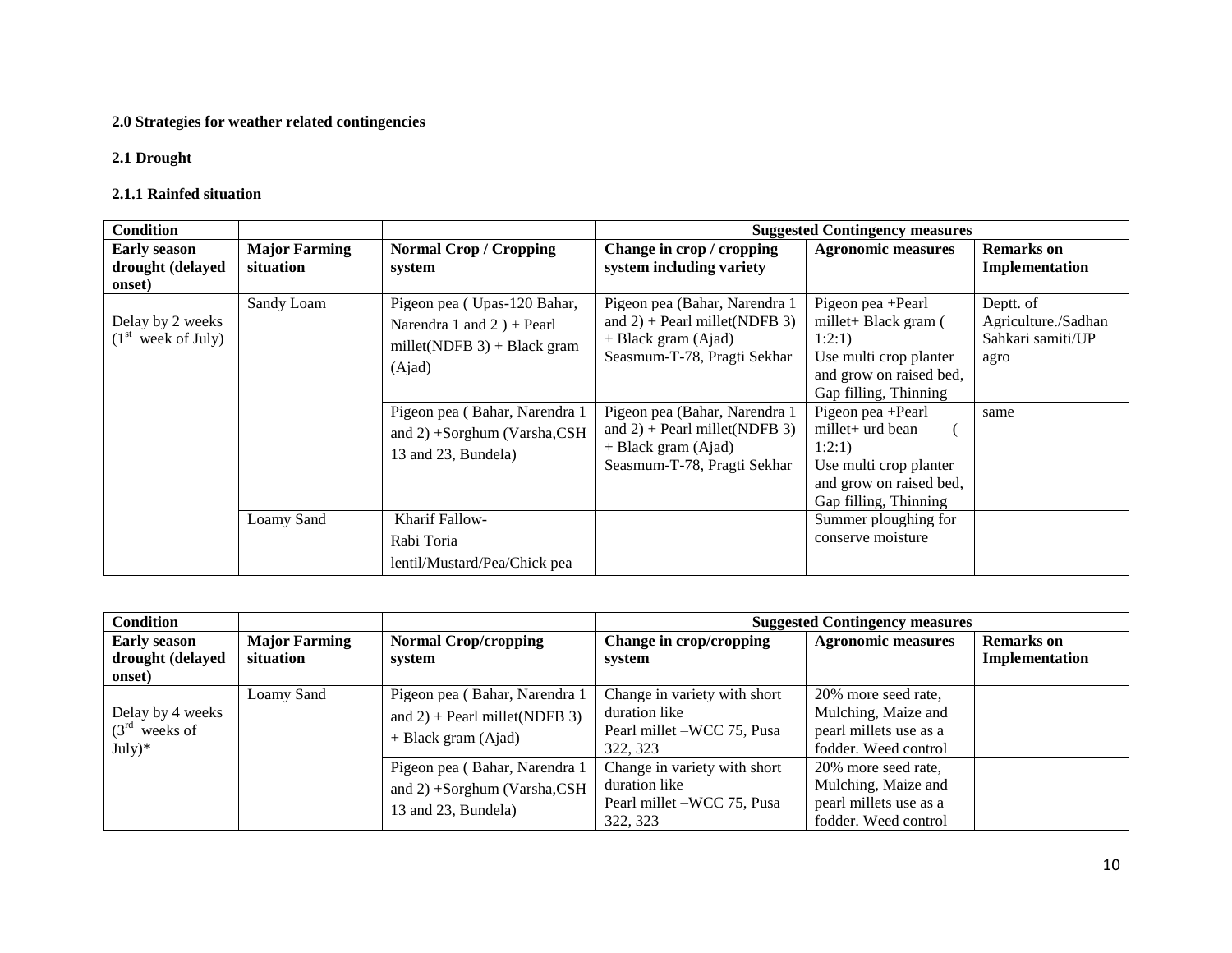## **2.0 Strategies for weather related contingencies**

## **2.1 Drought**

### **2.1.1 Rainfed situation**

| <b>Condition</b>                                   |                                   |                                                                                                         |                                                                                                                           | <b>Suggested Contingency measures</b>                                                                                             |                                                               |
|----------------------------------------------------|-----------------------------------|---------------------------------------------------------------------------------------------------------|---------------------------------------------------------------------------------------------------------------------------|-----------------------------------------------------------------------------------------------------------------------------------|---------------------------------------------------------------|
| <b>Early season</b><br>drought (delayed<br>onset)  | <b>Major Farming</b><br>situation | <b>Normal Crop / Cropping</b><br>system                                                                 | Change in crop / cropping<br>system including variety                                                                     | <b>Agronomic measures</b>                                                                                                         | <b>Remarks</b> on<br>Implementation                           |
| Delay by 2 weeks<br>(1 <sup>st</sup> week of July) | Sandy Loam                        | Pigeon pea (Upas-120 Bahar,<br>Narendra 1 and 2 $) +$ Pearl<br>millet(NDFB $3$ ) + Black gram<br>(Ajad) | Pigeon pea (Bahar, Narendra 1<br>and $2$ ) + Pearl millet(NDFB 3)<br>+ Black gram (Ajad)<br>Seasmum-T-78, Pragti Sekhar   | Pigeon pea +Pearl<br>millet+ Black gram (<br>1:2:1)<br>Use multi crop planter<br>and grow on raised bed,<br>Gap filling, Thinning | Deptt. of<br>Agriculture./Sadhan<br>Sahkari samiti/UP<br>agro |
|                                                    |                                   | Pigeon pea (Bahar, Narendra 1<br>and 2) +Sorghum (Varsha,CSH<br>13 and 23, Bundela)                     | Pigeon pea (Bahar, Narendra 1<br>and $2$ ) + Pearl millet(NDFB 3)<br>$+$ Black gram (Ajad)<br>Seasmum-T-78, Pragti Sekhar | Pigeon pea + Pearl<br>$millet+urd bean$<br>1:2:1)<br>Use multi crop planter<br>and grow on raised bed,<br>Gap filling, Thinning   | same                                                          |
|                                                    | Loamy Sand                        | <b>Kharif Fallow-</b><br>Rabi Toria<br>lentil/Mustard/Pea/Chick pea                                     |                                                                                                                           | Summer ploughing for<br>conserve moisture                                                                                         |                                                               |

| <b>Condition</b>                                  |                                   |                                                                                          |                                                                                         | <b>Suggested Contingency measures</b>                                                        |                                     |
|---------------------------------------------------|-----------------------------------|------------------------------------------------------------------------------------------|-----------------------------------------------------------------------------------------|----------------------------------------------------------------------------------------------|-------------------------------------|
| <b>Early season</b><br>drought (delayed<br>onset) | <b>Major Farming</b><br>situation | <b>Normal Crop/cropping</b><br>system                                                    | Change in crop/cropping<br>system                                                       | <b>Agronomic measures</b>                                                                    | <b>Remarks</b> on<br>Implementation |
| Delay by 4 weeks<br>$(3rd$ weeks of<br>$July)*$   | Loamy Sand                        | Pigeon pea (Bahar, Narendra 1<br>and $2$ ) + Pearl millet(NDFB 3)<br>+ Black gram (Ajad) | Change in variety with short<br>duration like<br>Pearl millet –WCC 75, Pusa<br>322, 323 | 20% more seed rate.<br>Mulching, Maize and<br>pearl millets use as a<br>fodder. Weed control |                                     |
|                                                   |                                   | Pigeon pea (Bahar, Narendra 1<br>and $2) +$ Sorghum (Varsha, CSH<br>13 and 23, Bundela)  | Change in variety with short<br>duration like<br>Pearl millet –WCC 75, Pusa<br>322, 323 | 20% more seed rate,<br>Mulching, Maize and<br>pearl millets use as a<br>fodder. Weed control |                                     |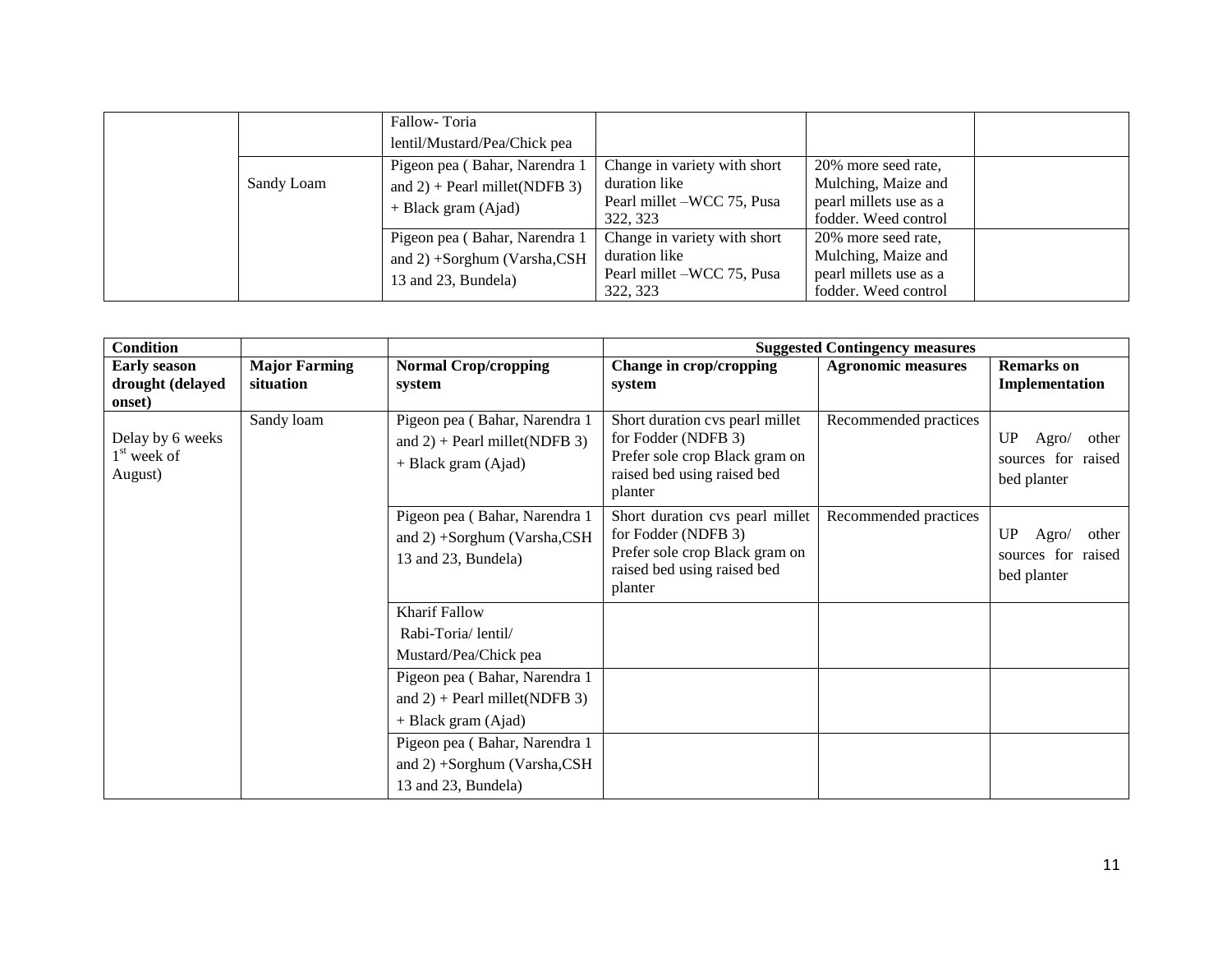|            | Fallow-Toria                     |                              |                        |  |
|------------|----------------------------------|------------------------------|------------------------|--|
|            | lentil/Mustard/Pea/Chick pea     |                              |                        |  |
|            | Pigeon pea (Bahar, Narendra 1    | Change in variety with short | 20% more seed rate,    |  |
| Sandy Loam | and $2$ ) + Pearl millet(NDFB 3) | duration like                | Mulching, Maize and    |  |
|            | $+$ Black gram (Ajad)            | Pearl millet –WCC 75, Pusa   | pearl millets use as a |  |
|            |                                  | 322, 323                     | fodder. Weed control   |  |
|            | Pigeon pea (Bahar, Narendra 1    | Change in variety with short | 20% more seed rate,    |  |
|            | and 2) +Sorghum (Varsha,CSH      | duration like                | Mulching, Maize and    |  |
|            | 13 and 23, Bundela)              | Pearl millet –WCC 75, Pusa   | pearl millets use as a |  |
|            |                                  | 322, 323                     | fodder. Weed control   |  |

| <b>Condition</b>                                       |                                   |                                                                                          |                                                                                                                                    | <b>Suggested Contingency measures</b> |                                                           |
|--------------------------------------------------------|-----------------------------------|------------------------------------------------------------------------------------------|------------------------------------------------------------------------------------------------------------------------------------|---------------------------------------|-----------------------------------------------------------|
| <b>Early season</b><br>drought (delayed<br>onset)      | <b>Major Farming</b><br>situation | <b>Normal Crop/cropping</b><br>system                                                    | Change in crop/cropping<br>system                                                                                                  | <b>Agronomic measures</b>             | <b>Remarks</b> on<br>Implementation                       |
| Delay by 6 weeks<br>1 <sup>st</sup> week of<br>August) | Sandy loam                        | Pigeon pea (Bahar, Narendra 1<br>and $2$ ) + Pearl millet(NDFB 3)<br>+ Black gram (Ajad) | Short duration cvs pearl millet<br>for Fodder (NDFB 3)<br>Prefer sole crop Black gram on<br>raised bed using raised bed<br>planter | Recommended practices                 | UP<br>Agro/<br>other<br>sources for raised<br>bed planter |
|                                                        |                                   | Pigeon pea (Bahar, Narendra 1<br>and $2) +$ Sorghum (Varsha, CSH<br>13 and 23, Bundela)  | Short duration cvs pearl millet<br>for Fodder (NDFB 3)<br>Prefer sole crop Black gram on<br>raised bed using raised bed<br>planter | Recommended practices                 | UP<br>other<br>Agro/<br>sources for raised<br>bed planter |
|                                                        |                                   | <b>Kharif Fallow</b>                                                                     |                                                                                                                                    |                                       |                                                           |
|                                                        |                                   | Rabi-Toria/lentil/                                                                       |                                                                                                                                    |                                       |                                                           |
|                                                        |                                   | Mustard/Pea/Chick pea                                                                    |                                                                                                                                    |                                       |                                                           |
|                                                        |                                   | Pigeon pea (Bahar, Narendra 1                                                            |                                                                                                                                    |                                       |                                                           |
|                                                        |                                   | and $2$ ) + Pearl millet(NDFB 3)                                                         |                                                                                                                                    |                                       |                                                           |
|                                                        |                                   | + Black gram (Ajad)                                                                      |                                                                                                                                    |                                       |                                                           |
|                                                        |                                   | Pigeon pea (Bahar, Narendra 1                                                            |                                                                                                                                    |                                       |                                                           |
|                                                        |                                   | and 2) +Sorghum (Varsha,CSH                                                              |                                                                                                                                    |                                       |                                                           |
|                                                        |                                   | 13 and 23, Bundela)                                                                      |                                                                                                                                    |                                       |                                                           |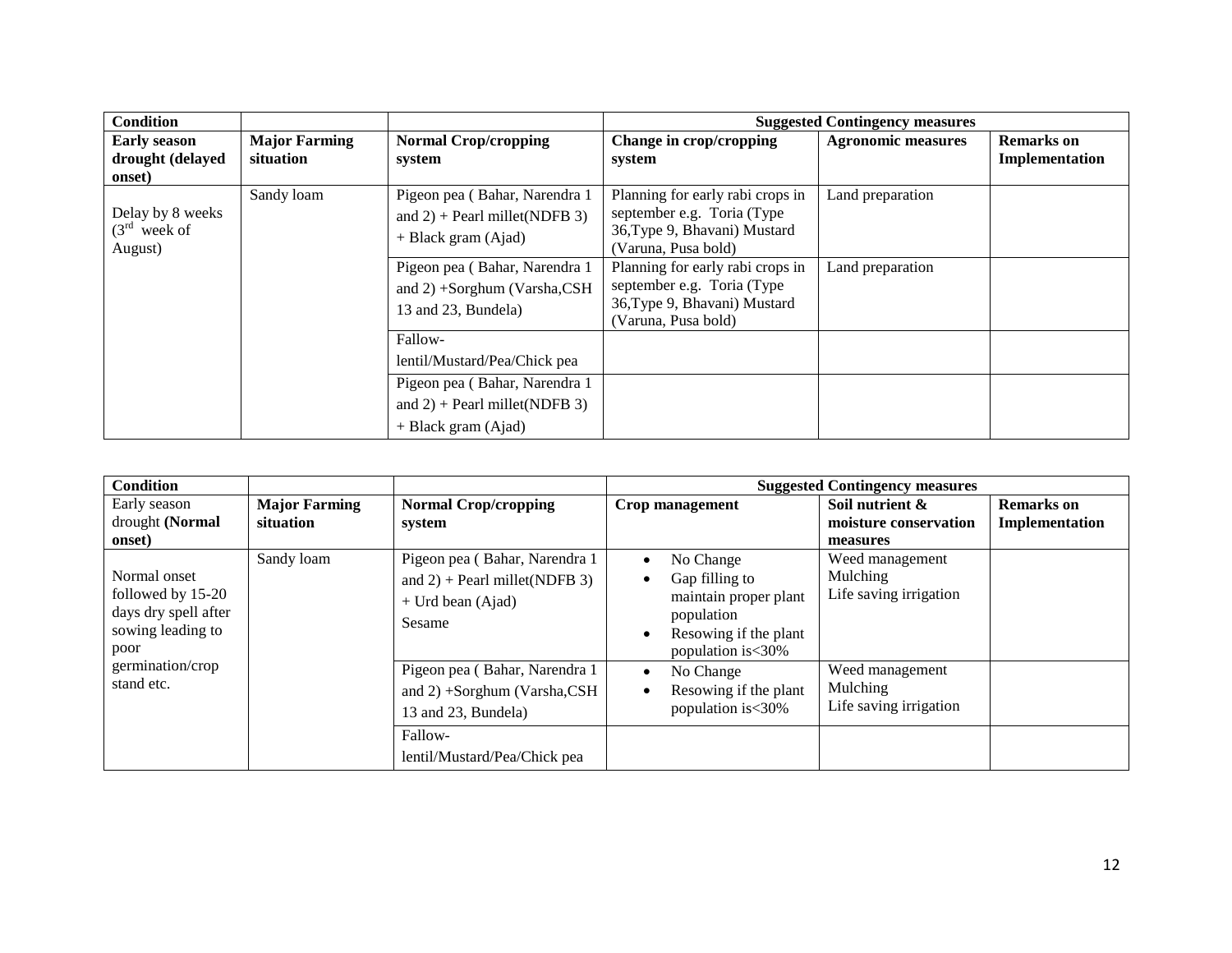| <b>Condition</b>                              |                                   |                                                                                            |                                                                                                                        | <b>Suggested Contingency measures</b> |                                     |
|-----------------------------------------------|-----------------------------------|--------------------------------------------------------------------------------------------|------------------------------------------------------------------------------------------------------------------------|---------------------------------------|-------------------------------------|
| <b>Early season</b><br>drought (delayed       | <b>Major Farming</b><br>situation | <b>Normal Crop/cropping</b><br>system                                                      | Change in crop/cropping                                                                                                | <b>Agronomic measures</b>             | <b>Remarks</b> on<br>Implementation |
| onset)                                        |                                   |                                                                                            | system                                                                                                                 |                                       |                                     |
| Delay by 8 weeks<br>$(3rd$ week of<br>August) | Sandy loam                        | Pigeon pea (Bahar, Narendra 1<br>and $2$ ) + Pearl millet(NDFB 3)<br>$+$ Black gram (Ajad) | Planning for early rabi crops in<br>september e.g. Toria (Type)<br>36, Type 9, Bhavani) Mustard<br>(Varuna, Pusa bold) | Land preparation                      |                                     |
|                                               |                                   | Pigeon pea (Bahar, Narendra 1<br>and 2) +Sorghum (Varsha,CSH<br>13 and 23, Bundela)        | Planning for early rabi crops in<br>september e.g. Toria (Type)<br>36, Type 9, Bhavani) Mustard<br>(Varuna, Pusa bold) | Land preparation                      |                                     |
|                                               |                                   | Fallow-<br>lentil/Mustard/Pea/Chick pea                                                    |                                                                                                                        |                                       |                                     |
|                                               |                                   | Pigeon pea (Bahar, Narendra 1<br>and $2$ ) + Pearl millet(NDFB 3)<br>$+$ Black gram (Ajad) |                                                                                                                        |                                       |                                     |

| <b>Condition</b>     |                      |                                  |                                   | <b>Suggested Contingency measures</b> |                |
|----------------------|----------------------|----------------------------------|-----------------------------------|---------------------------------------|----------------|
| Early season         | <b>Major Farming</b> | <b>Normal Crop/cropping</b>      | Crop management                   | Soil nutrient &                       | Remarks on     |
| drought (Normal      | situation            | system                           |                                   | moisture conservation                 | Implementation |
| onset)               |                      |                                  |                                   | measures                              |                |
|                      | Sandy loam           | Pigeon pea (Bahar, Narendra 1    | No Change                         | Weed management                       |                |
| Normal onset         |                      | and $2$ ) + Pearl millet(NDFB 3) | Gap filling to                    | Mulching                              |                |
| followed by 15-20    |                      | $+$ Urd bean (Ajad)              | maintain proper plant             | Life saving irrigation                |                |
| days dry spell after |                      | Sesame                           | population                        |                                       |                |
| sowing leading to    |                      |                                  | Resowing if the plant             |                                       |                |
| poor                 |                      |                                  | population is < 30%               |                                       |                |
| germination/crop     |                      | Pigeon pea (Bahar, Narendra 1    | No Change                         | Weed management                       |                |
| stand etc.           |                      | and $2) +$ Sorghum (Varsha, CSH) | Mulching<br>Resowing if the plant |                                       |                |
|                      |                      | 13 and 23, Bundela)              | population is<30%                 | Life saving irrigation                |                |
|                      |                      | Fallow-                          |                                   |                                       |                |
|                      |                      | lentil/Mustard/Pea/Chick pea     |                                   |                                       |                |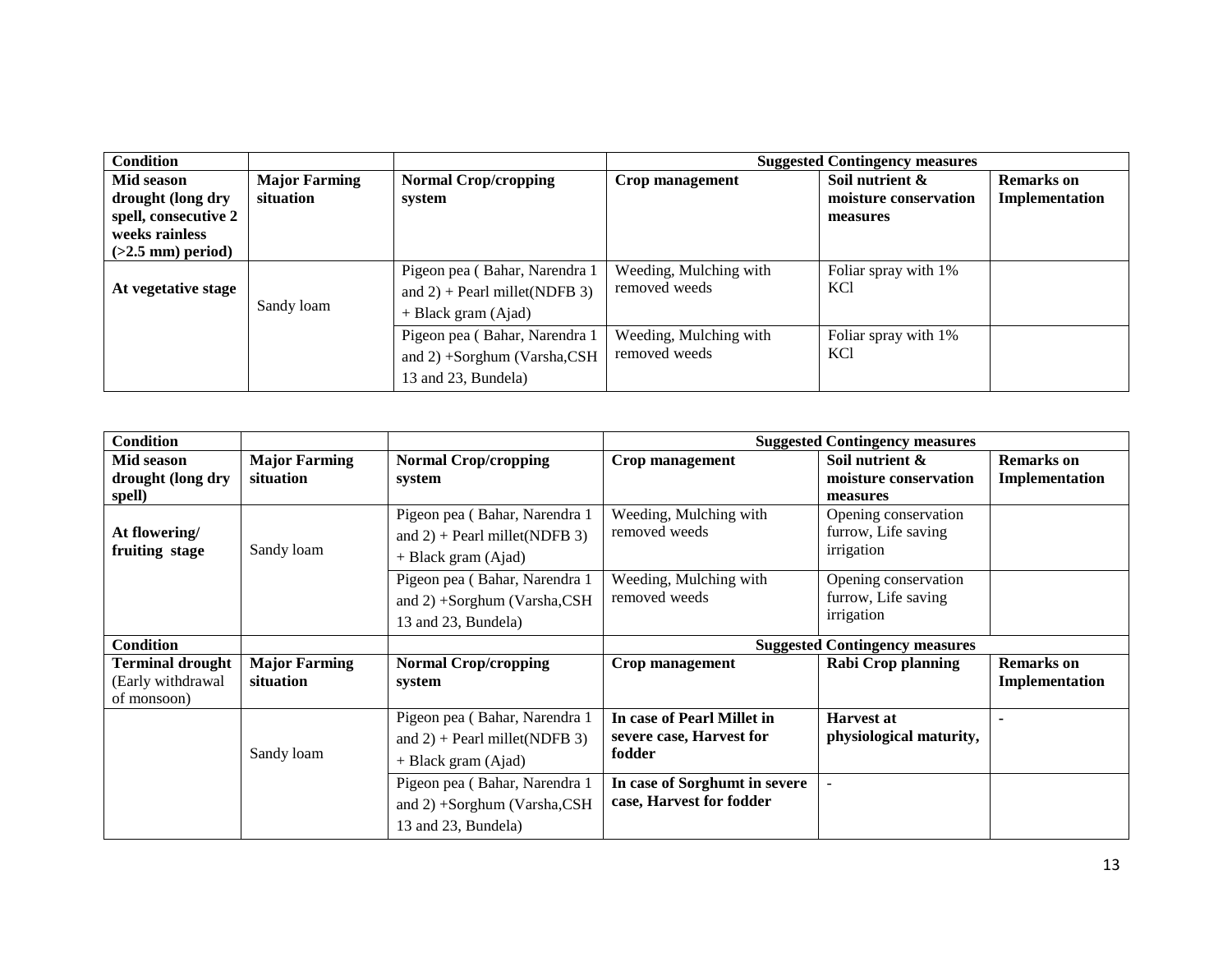| <b>Condition</b>                                                                                 |                                   |                                                                                            |                                         | <b>Suggested Contingency measures</b>                |                              |
|--------------------------------------------------------------------------------------------------|-----------------------------------|--------------------------------------------------------------------------------------------|-----------------------------------------|------------------------------------------------------|------------------------------|
| Mid season<br>drought (long dry<br>spell, consecutive 2<br>weeks rainless<br>$(>2.5$ mm) period) | <b>Major Farming</b><br>situation | <b>Normal Crop/cropping</b><br>system                                                      | Crop management                         | Soil nutrient &<br>moisture conservation<br>measures | Remarks on<br>Implementation |
| At vegetative stage                                                                              | Sandy loam                        | Pigeon pea (Bahar, Narendra 1<br>and $2$ ) + Pearl millet(NDFB 3)<br>$+$ Black gram (Ajad) | Weeding, Mulching with<br>removed weeds | Foliar spray with 1%<br><b>KCl</b>                   |                              |
|                                                                                                  |                                   | Pigeon pea (Bahar, Narendra 1<br>and 2) +Sorghum (Varsha,CSH<br>13 and 23, Bundela)        | Weeding, Mulching with<br>removed weeds | Foliar spray with 1%<br>KC <sub>1</sub>              |                              |

| <b>Condition</b>                                            |                                   |                                                                                            |                                                                  | <b>Suggested Contingency measures</b>                     |                                     |
|-------------------------------------------------------------|-----------------------------------|--------------------------------------------------------------------------------------------|------------------------------------------------------------------|-----------------------------------------------------------|-------------------------------------|
| Mid season<br>drought (long dry<br>spell)                   | <b>Major Farming</b><br>situation | <b>Normal Crop/cropping</b><br>system                                                      | <b>Crop management</b>                                           | Soil nutrient $\&$<br>moisture conservation<br>measures   | <b>Remarks</b> on<br>Implementation |
| At flowering/<br>fruiting stage                             | Sandy loam                        | Pigeon pea (Bahar, Narendra 1<br>and $2$ ) + Pearl millet(NDFB 3)<br>$+$ Black gram (Ajad) | Weeding, Mulching with<br>removed weeds                          | Opening conservation<br>furrow, Life saving<br>irrigation |                                     |
|                                                             |                                   | Pigeon pea (Bahar, Narendra 1<br>and 2) +Sorghum (Varsha,CSH<br>13 and 23, Bundela)        | Weeding, Mulching with<br>removed weeds                          | Opening conservation<br>furrow, Life saving<br>irrigation |                                     |
| <b>Condition</b>                                            |                                   |                                                                                            |                                                                  | <b>Suggested Contingency measures</b>                     |                                     |
| <b>Terminal drought</b><br>(Early withdrawal<br>of monsoon) | <b>Major Farming</b><br>situation | <b>Normal Crop/cropping</b><br>system                                                      | Crop management                                                  | <b>Rabi Crop planning</b>                                 | <b>Remarks</b> on<br>Implementation |
|                                                             | Sandy loam                        | Pigeon pea (Bahar, Narendra 1<br>and $2$ ) + Pearl millet(NDFB 3)<br>$+$ Black gram (Ajad) | In case of Pearl Millet in<br>severe case, Harvest for<br>fodder | <b>Harvest at</b><br>physiological maturity,              |                                     |
|                                                             |                                   | Pigeon pea (Bahar, Narendra 1<br>and 2) +Sorghum (Varsha,CSH<br>13 and 23, Bundela)        | In case of Sorghumt in severe<br>case, Harvest for fodder        | $\overline{\phantom{a}}$                                  |                                     |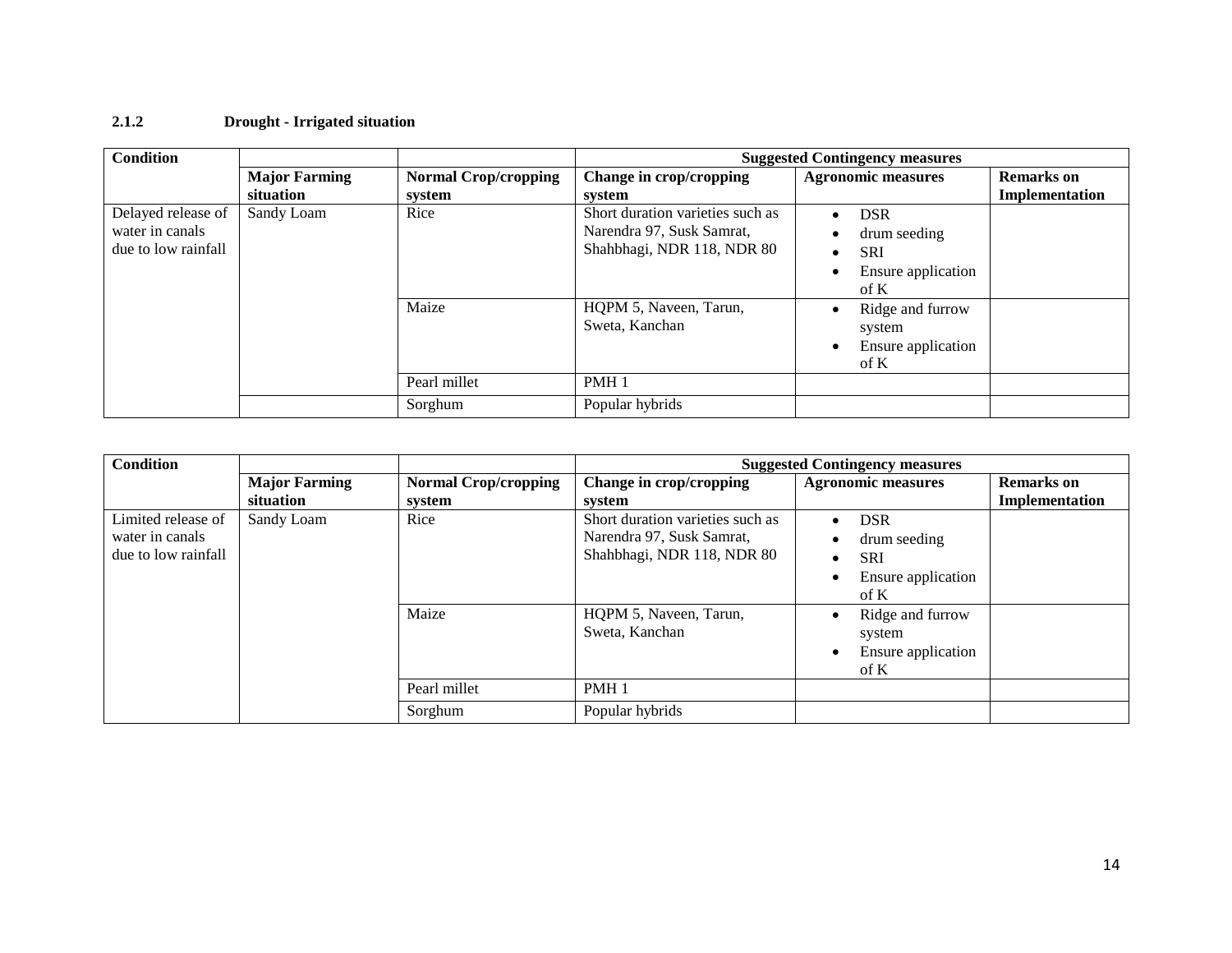## **2.1.2 Drought - Irrigated situation**

| <b>Condition</b>                      |                      |                             |                                                               | <b>Suggested Contingency measures</b> |                   |
|---------------------------------------|----------------------|-----------------------------|---------------------------------------------------------------|---------------------------------------|-------------------|
|                                       | <b>Major Farming</b> | <b>Normal Crop/cropping</b> | Change in crop/cropping                                       | <b>Agronomic measures</b>             | <b>Remarks</b> on |
|                                       | situation            | system                      | system                                                        |                                       | Implementation    |
| Delayed release of<br>water in canals | Sandy Loam           | Rice                        | Short duration varieties such as<br>Narendra 97, Susk Samrat, | <b>DSR</b><br>$\bullet$               |                   |
| due to low rainfall                   |                      |                             | Shahbhagi, NDR 118, NDR 80                                    | drum seeding<br>$\bullet$             |                   |
|                                       |                      |                             |                                                               | <b>SRI</b><br>٠                       |                   |
|                                       |                      |                             |                                                               | Ensure application<br>$\bullet$       |                   |
|                                       |                      |                             |                                                               | of K                                  |                   |
|                                       |                      | Maize                       | HQPM 5, Naveen, Tarun,                                        | Ridge and furrow<br>$\bullet$         |                   |
|                                       |                      |                             | Sweta, Kanchan                                                | system                                |                   |
|                                       |                      |                             |                                                               | Ensure application                    |                   |
|                                       |                      |                             |                                                               | $\rm of~K$                            |                   |
|                                       |                      | Pearl millet                | PMH <sub>1</sub>                                              |                                       |                   |
|                                       |                      | Sorghum                     | Popular hybrids                                               |                                       |                   |

| <b>Condition</b>    |                      |                             |                                  | <b>Suggested Contingency measures</b> |                   |
|---------------------|----------------------|-----------------------------|----------------------------------|---------------------------------------|-------------------|
|                     | <b>Major Farming</b> | <b>Normal Crop/cropping</b> | Change in crop/cropping          | <b>Agronomic measures</b>             | <b>Remarks</b> on |
|                     | situation            | system                      | svstem                           |                                       | Implementation    |
| Limited release of  | Sandy Loam           | Rice                        | Short duration varieties such as | <b>DSR</b><br>$\bullet$               |                   |
| water in canals     |                      |                             | Narendra 97, Susk Samrat,        | drum seeding                          |                   |
| due to low rainfall |                      |                             | Shahbhagi, NDR 118, NDR 80       | SRI<br>$\bullet$                      |                   |
|                     |                      |                             |                                  | Ensure application                    |                   |
|                     |                      |                             |                                  | $\rm of~K$                            |                   |
|                     |                      | Maize                       | HQPM 5, Naveen, Tarun,           | Ridge and furrow                      |                   |
|                     |                      |                             | Sweta, Kanchan                   | system                                |                   |
|                     |                      |                             |                                  | Ensure application                    |                   |
|                     |                      |                             |                                  | of K                                  |                   |
|                     |                      | Pearl millet                | PMH <sub>1</sub>                 |                                       |                   |
|                     |                      | Sorghum                     | Popular hybrids                  |                                       |                   |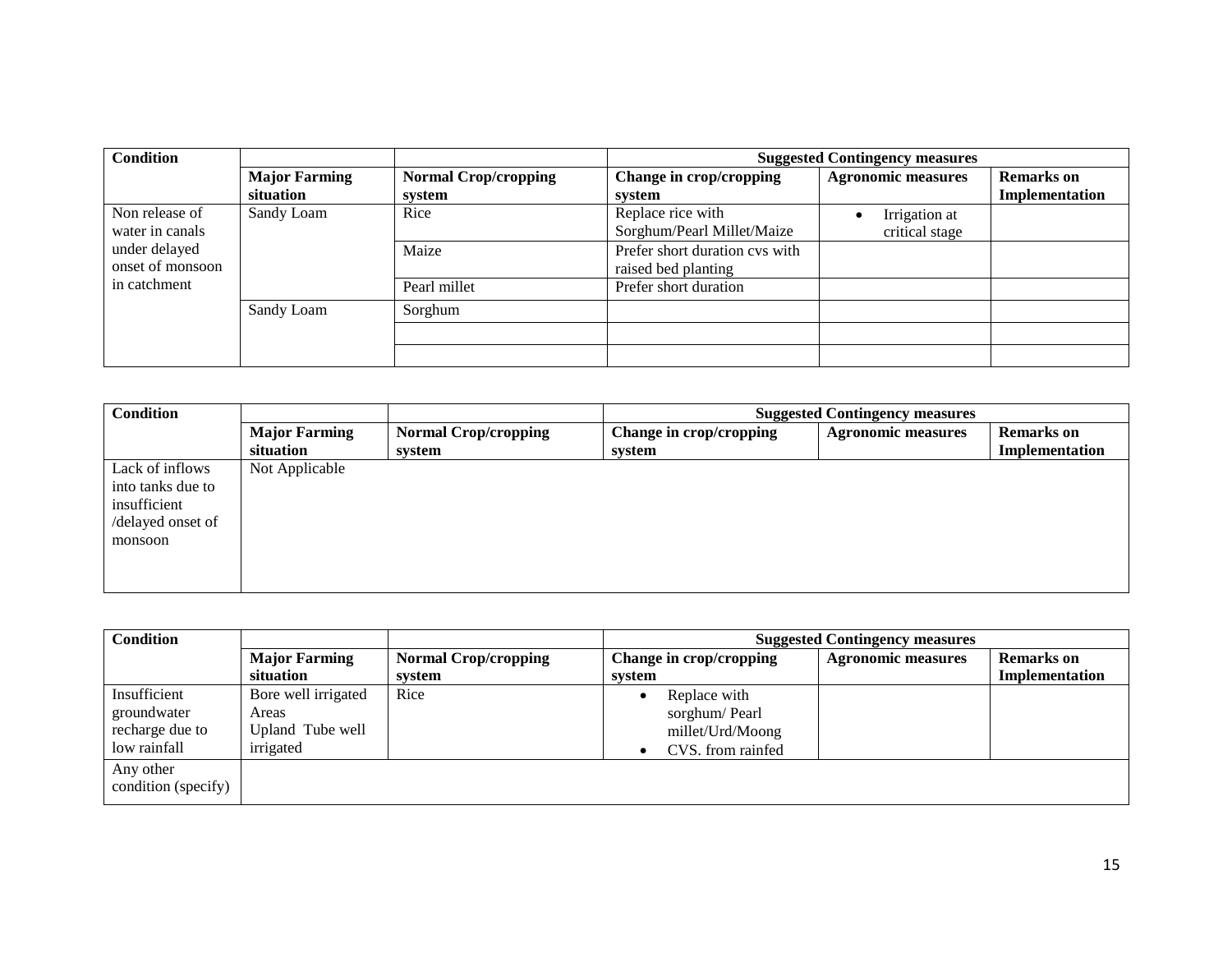| <b>Condition</b> |                      |                             | <b>Suggested Contingency measures</b> |                           |                   |
|------------------|----------------------|-----------------------------|---------------------------------------|---------------------------|-------------------|
|                  | <b>Major Farming</b> | <b>Normal Crop/cropping</b> | Change in crop/cropping               | <b>Agronomic measures</b> | <b>Remarks</b> on |
|                  | situation            | system                      | system                                |                           | Implementation    |
| Non release of   | Sandy Loam           | Rice                        | Replace rice with                     | Irrigation at             |                   |
| water in canals  |                      |                             | Sorghum/Pearl Millet/Maize            | critical stage            |                   |
| under delayed    |                      | Maize                       | Prefer short duration cvs with        |                           |                   |
| onset of monsoon |                      |                             | raised bed planting                   |                           |                   |
| in catchment     |                      | Pearl millet                | Prefer short duration                 |                           |                   |
|                  | Sandy Loam           | Sorghum                     |                                       |                           |                   |
|                  |                      |                             |                                       |                           |                   |
|                  |                      |                             |                                       |                           |                   |

| <b>Condition</b>  |                      |                             | <b>Suggested Contingency measures</b> |                           |                   |
|-------------------|----------------------|-----------------------------|---------------------------------------|---------------------------|-------------------|
|                   | <b>Major Farming</b> | <b>Normal Crop/cropping</b> | Change in crop/cropping               | <b>Agronomic measures</b> | <b>Remarks</b> on |
|                   | situation            | system                      | system                                |                           | Implementation    |
| Lack of inflows   | Not Applicable       |                             |                                       |                           |                   |
| into tanks due to |                      |                             |                                       |                           |                   |
| insufficient      |                      |                             |                                       |                           |                   |
| /delayed onset of |                      |                             |                                       |                           |                   |
| monsoon           |                      |                             |                                       |                           |                   |
|                   |                      |                             |                                       |                           |                   |
|                   |                      |                             |                                       |                           |                   |
|                   |                      |                             |                                       |                           |                   |

| <b>Major Farming</b> | <b>Normal Crop/cropping</b> | Change in crop/cropping | <b>Agronomic measures</b> | <b>Remarks</b> on                     |
|----------------------|-----------------------------|-------------------------|---------------------------|---------------------------------------|
| situation            | system                      | system                  |                           | Implementation                        |
| Bore well irrigated  | Rice                        | Replace with            |                           |                                       |
| Areas                |                             | sorghum/Pearl           |                           |                                       |
| Upland Tube well     |                             | millet/Urd/Moong        |                           |                                       |
| irrigated            |                             | CVS. from rainfed       |                           |                                       |
|                      |                             |                         |                           |                                       |
|                      |                             |                         |                           |                                       |
|                      |                             |                         |                           | <b>Suggested Contingency measures</b> |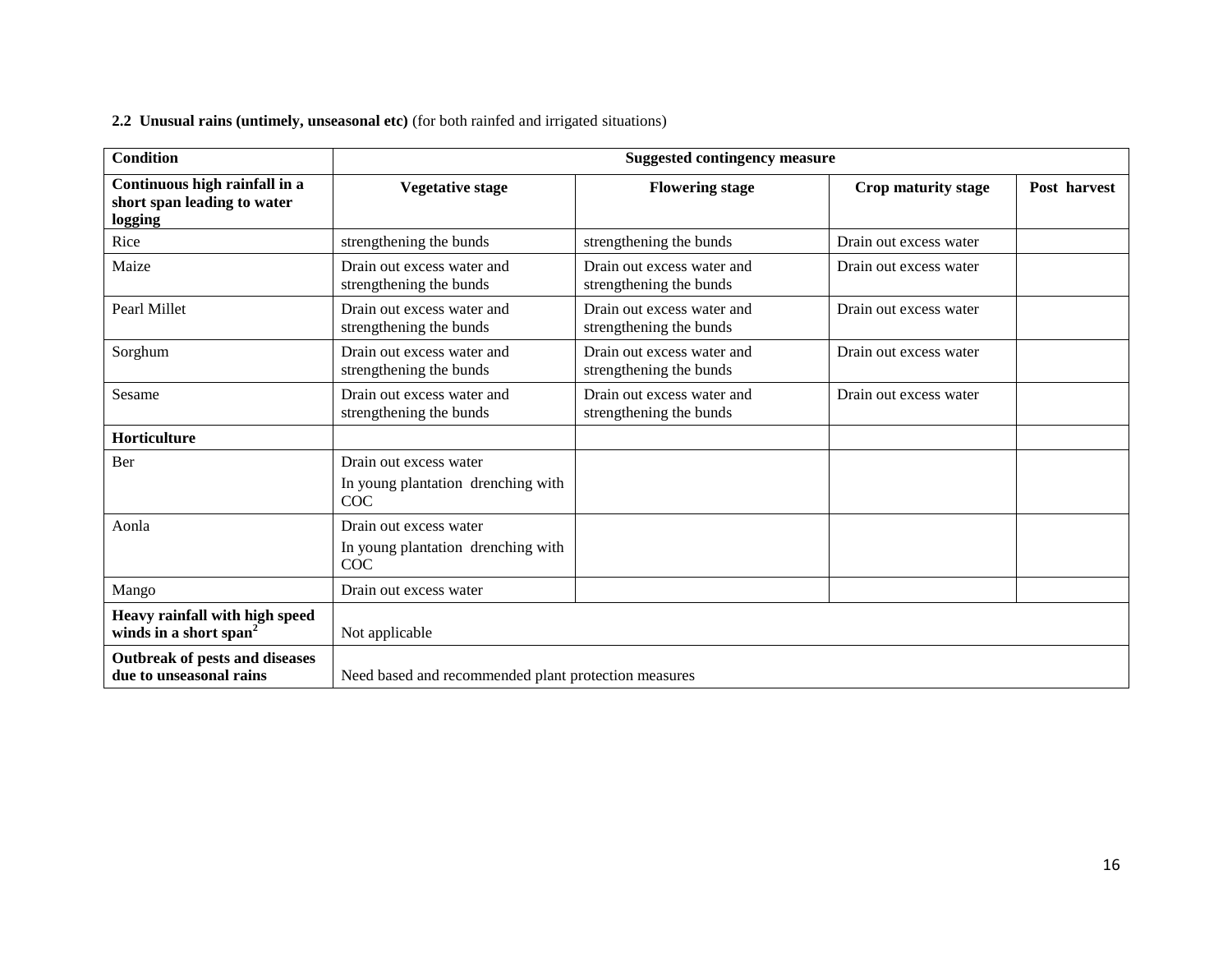| 2.2 Unusual rains (untimely, unseasonal etc) (for both rainfed and irrigated situations) |  |
|------------------------------------------------------------------------------------------|--|
|------------------------------------------------------------------------------------------|--|

| <b>Condition</b>                                                        |                                                                            | <b>Suggested contingency measure</b>                  |                        |              |
|-------------------------------------------------------------------------|----------------------------------------------------------------------------|-------------------------------------------------------|------------------------|--------------|
| Continuous high rainfall in a<br>short span leading to water<br>logging | <b>Vegetative stage</b>                                                    | <b>Flowering stage</b>                                | Crop maturity stage    | Post harvest |
| Rice                                                                    | strengthening the bunds                                                    | strengthening the bunds                               | Drain out excess water |              |
| Maize                                                                   | Drain out excess water and<br>strengthening the bunds                      | Drain out excess water and<br>strengthening the bunds | Drain out excess water |              |
| Pearl Millet                                                            | Drain out excess water and<br>strengthening the bunds                      | Drain out excess water and<br>strengthening the bunds | Drain out excess water |              |
| Sorghum                                                                 | Drain out excess water and<br>strengthening the bunds                      | Drain out excess water and<br>strengthening the bunds | Drain out excess water |              |
| Sesame                                                                  | Drain out excess water and<br>strengthening the bunds                      | Drain out excess water and<br>strengthening the bunds | Drain out excess water |              |
| Horticulture                                                            |                                                                            |                                                       |                        |              |
| Ber                                                                     | Drain out excess water<br>In young plantation drenching with<br><b>COC</b> |                                                       |                        |              |
| Aonla                                                                   | Drain out excess water<br>In young plantation drenching with<br>COC        |                                                       |                        |              |
| Mango                                                                   | Drain out excess water                                                     |                                                       |                        |              |
| Heavy rainfall with high speed<br>winds in a short span <sup>2</sup>    | Not applicable                                                             |                                                       |                        |              |
| Outbreak of pests and diseases<br>due to unseasonal rains               | Need based and recommended plant protection measures                       |                                                       |                        |              |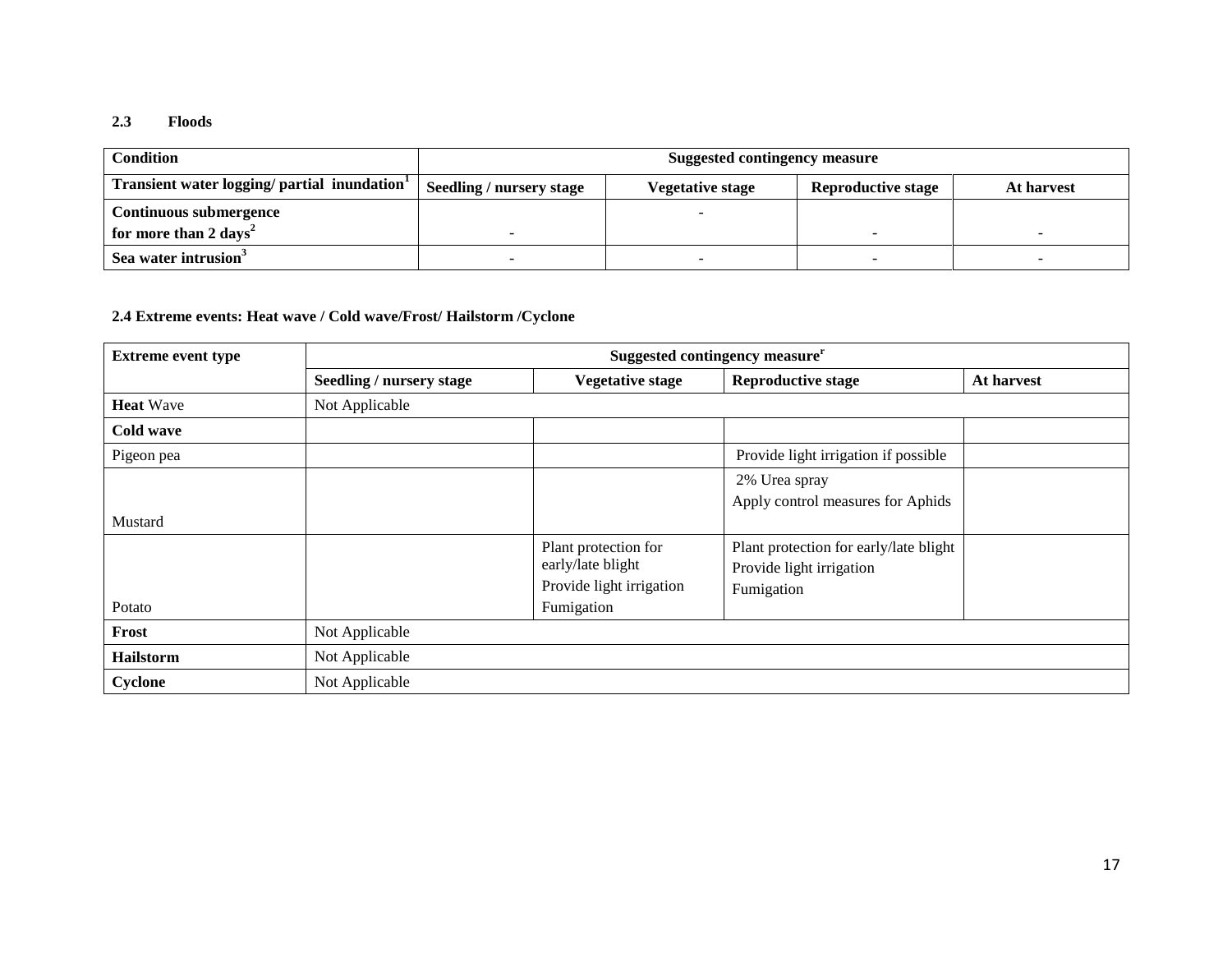## **2.3 Floods**

| Condition                                                | Suggested contingency measure   |                  |                           |            |
|----------------------------------------------------------|---------------------------------|------------------|---------------------------|------------|
| Transient water logging/ partial inundation <sup>1</sup> | <b>Seedling / nursery stage</b> | Vegetative stage | <b>Reproductive stage</b> | At harvest |
| Continuous submergence                                   |                                 |                  |                           |            |
| for more than 2 days <sup>2</sup>                        |                                 |                  |                           |            |
| Sea water intrusion <sup>3</sup>                         |                                 |                  |                           |            |

## **2.4 Extreme events: Heat wave / Cold wave/Frost/ Hailstorm /Cyclone**

| <b>Extreme event type</b> | Suggested contingency measure <sup>r</sup> |                                                                                     |                                                                                  |            |
|---------------------------|--------------------------------------------|-------------------------------------------------------------------------------------|----------------------------------------------------------------------------------|------------|
|                           | Seedling / nursery stage                   | <b>Vegetative stage</b>                                                             | <b>Reproductive stage</b>                                                        | At harvest |
| <b>Heat</b> Wave          | Not Applicable                             |                                                                                     |                                                                                  |            |
| Cold wave                 |                                            |                                                                                     |                                                                                  |            |
| Pigeon pea                |                                            |                                                                                     | Provide light irrigation if possible                                             |            |
| Mustard                   |                                            |                                                                                     | 2% Urea spray<br>Apply control measures for Aphids                               |            |
| Potato                    |                                            | Plant protection for<br>early/late blight<br>Provide light irrigation<br>Fumigation | Plant protection for early/late blight<br>Provide light irrigation<br>Fumigation |            |
| Frost                     | Not Applicable                             |                                                                                     |                                                                                  |            |
| <b>Hailstorm</b>          | Not Applicable                             |                                                                                     |                                                                                  |            |
| Cyclone                   | Not Applicable                             |                                                                                     |                                                                                  |            |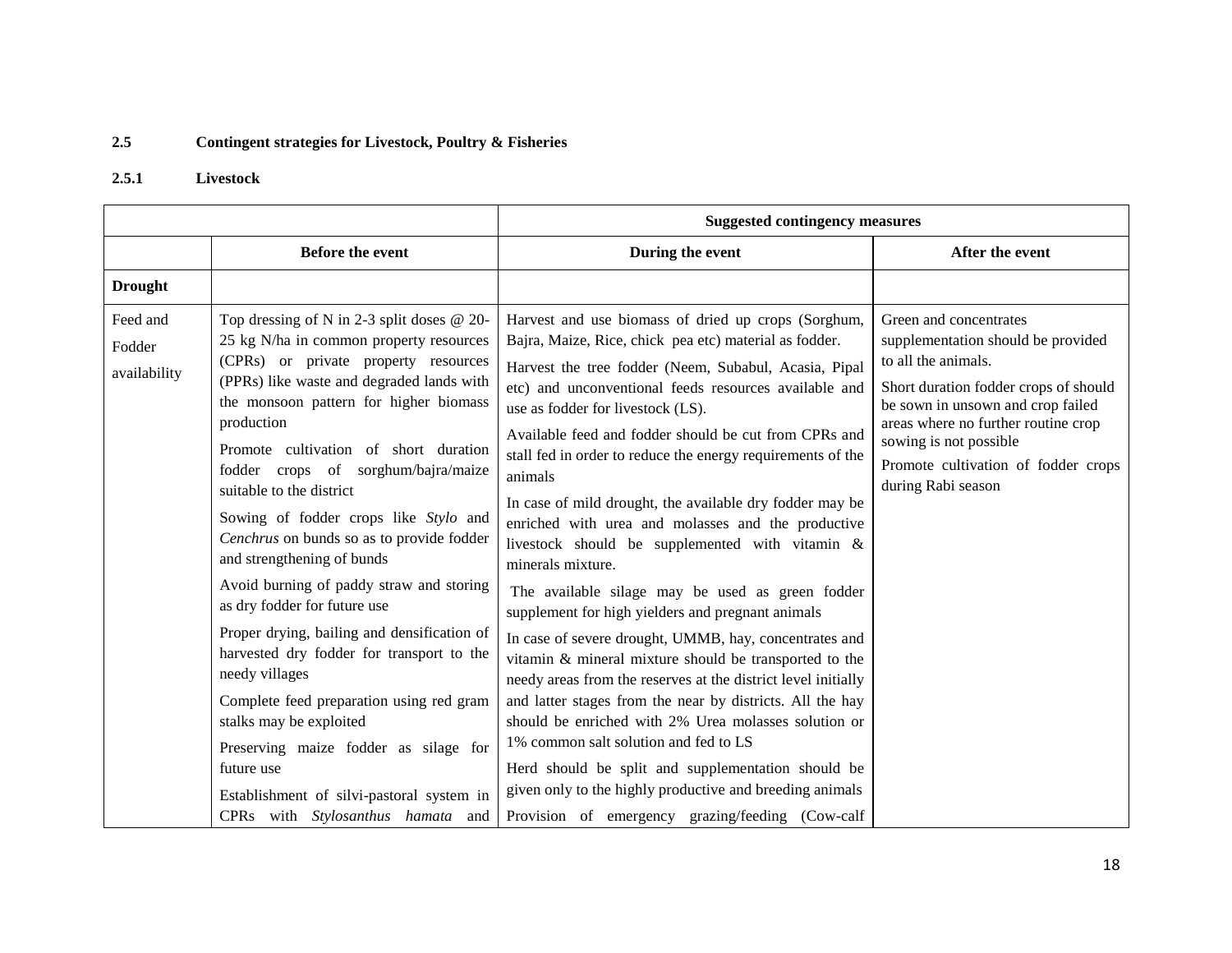## **2.5 Contingent strategies for Livestock, Poultry & Fisheries**

## **2.5.1 Livestock**

|                                    |                                                                                                                                                                                                                                                                                                                                                                                                                                                                                                                                                                                                                                                                                                                                                                                                                                                                                | <b>Suggested contingency measures</b>                                                                                                                                                                                                                                                                                                                                                                                                                                                                                                                                                                                                                                                                                                                                                                                                                                                                                                                                                                                                                                                                                                                                                                                               |                                                                                                                                                                                                                                                                                                 |  |
|------------------------------------|--------------------------------------------------------------------------------------------------------------------------------------------------------------------------------------------------------------------------------------------------------------------------------------------------------------------------------------------------------------------------------------------------------------------------------------------------------------------------------------------------------------------------------------------------------------------------------------------------------------------------------------------------------------------------------------------------------------------------------------------------------------------------------------------------------------------------------------------------------------------------------|-------------------------------------------------------------------------------------------------------------------------------------------------------------------------------------------------------------------------------------------------------------------------------------------------------------------------------------------------------------------------------------------------------------------------------------------------------------------------------------------------------------------------------------------------------------------------------------------------------------------------------------------------------------------------------------------------------------------------------------------------------------------------------------------------------------------------------------------------------------------------------------------------------------------------------------------------------------------------------------------------------------------------------------------------------------------------------------------------------------------------------------------------------------------------------------------------------------------------------------|-------------------------------------------------------------------------------------------------------------------------------------------------------------------------------------------------------------------------------------------------------------------------------------------------|--|
|                                    | <b>Before the event</b>                                                                                                                                                                                                                                                                                                                                                                                                                                                                                                                                                                                                                                                                                                                                                                                                                                                        | During the event                                                                                                                                                                                                                                                                                                                                                                                                                                                                                                                                                                                                                                                                                                                                                                                                                                                                                                                                                                                                                                                                                                                                                                                                                    | After the event                                                                                                                                                                                                                                                                                 |  |
| <b>Drought</b>                     |                                                                                                                                                                                                                                                                                                                                                                                                                                                                                                                                                                                                                                                                                                                                                                                                                                                                                |                                                                                                                                                                                                                                                                                                                                                                                                                                                                                                                                                                                                                                                                                                                                                                                                                                                                                                                                                                                                                                                                                                                                                                                                                                     |                                                                                                                                                                                                                                                                                                 |  |
| Feed and<br>Fodder<br>availability | Top dressing of N in 2-3 split doses $@$ 20-<br>25 kg N/ha in common property resources<br>(CPRs) or private property resources<br>(PPRs) like waste and degraded lands with<br>the monsoon pattern for higher biomass<br>production<br>Promote cultivation of short duration<br>fodder crops of sorghum/bajra/maize<br>suitable to the district<br>Sowing of fodder crops like Stylo and<br>Cenchrus on bunds so as to provide fodder<br>and strengthening of bunds<br>Avoid burning of paddy straw and storing<br>as dry fodder for future use<br>Proper drying, bailing and densification of<br>harvested dry fodder for transport to the<br>needy villages<br>Complete feed preparation using red gram<br>stalks may be exploited<br>Preserving maize fodder as silage for<br>future use<br>Establishment of silvi-pastoral system in<br>CPRs with Stylosanthus hamata and | Harvest and use biomass of dried up crops (Sorghum,<br>Bajra, Maize, Rice, chick pea etc) material as fodder.<br>Harvest the tree fodder (Neem, Subabul, Acasia, Pipal<br>etc) and unconventional feeds resources available and<br>use as fodder for livestock (LS).<br>Available feed and fodder should be cut from CPRs and<br>stall fed in order to reduce the energy requirements of the<br>animals<br>In case of mild drought, the available dry fodder may be<br>enriched with urea and molasses and the productive<br>livestock should be supplemented with vitamin &<br>minerals mixture.<br>The available silage may be used as green fodder<br>supplement for high yielders and pregnant animals<br>In case of severe drought, UMMB, hay, concentrates and<br>vitamin & mineral mixture should be transported to the<br>needy areas from the reserves at the district level initially<br>and latter stages from the near by districts. All the hay<br>should be enriched with 2% Urea molasses solution or<br>1% common salt solution and fed to LS<br>Herd should be split and supplementation should be<br>given only to the highly productive and breeding animals<br>Provision of emergency grazing/feeding (Cow-calf | Green and concentrates<br>supplementation should be provided<br>to all the animals.<br>Short duration fodder crops of should<br>be sown in unsown and crop failed<br>areas where no further routine crop<br>sowing is not possible<br>Promote cultivation of fodder crops<br>during Rabi season |  |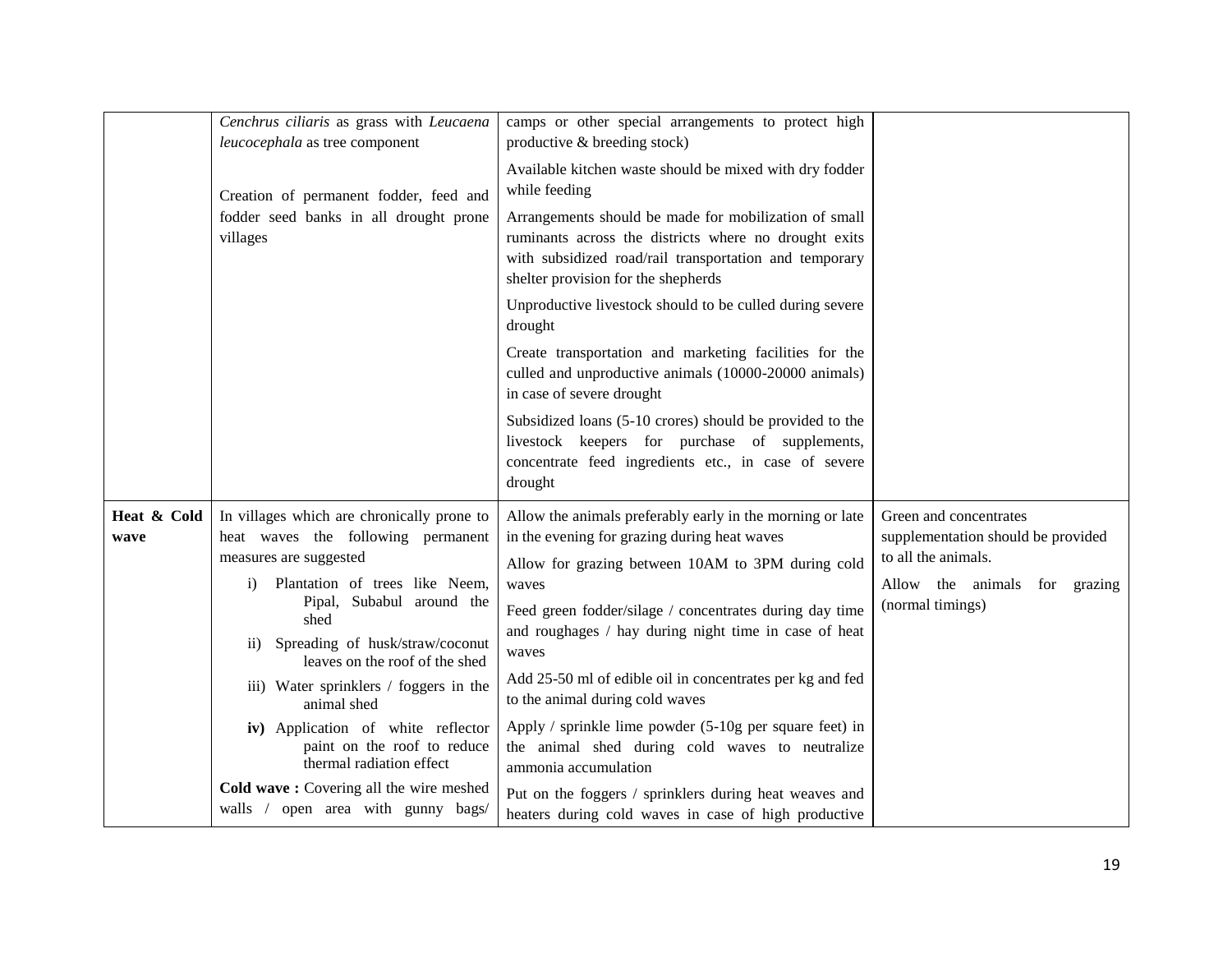|             | Cenchrus ciliaris as grass with Leucaena                                                                            | camps or other special arrangements to protect high                                                                                                                                                             |                                    |
|-------------|---------------------------------------------------------------------------------------------------------------------|-----------------------------------------------------------------------------------------------------------------------------------------------------------------------------------------------------------------|------------------------------------|
|             | leucocephala as tree component                                                                                      | productive & breeding stock)                                                                                                                                                                                    |                                    |
|             | Creation of permanent fodder, feed and                                                                              | Available kitchen waste should be mixed with dry fodder<br>while feeding                                                                                                                                        |                                    |
|             | fodder seed banks in all drought prone<br>villages                                                                  | Arrangements should be made for mobilization of small<br>ruminants across the districts where no drought exits<br>with subsidized road/rail transportation and temporary<br>shelter provision for the shepherds |                                    |
|             |                                                                                                                     | Unproductive livestock should to be culled during severe<br>drought                                                                                                                                             |                                    |
|             |                                                                                                                     | Create transportation and marketing facilities for the<br>culled and unproductive animals (10000-20000 animals)<br>in case of severe drought                                                                    |                                    |
|             |                                                                                                                     | Subsidized loans (5-10 crores) should be provided to the<br>livestock keepers for purchase of supplements,<br>concentrate feed ingredients etc., in case of severe<br>drought                                   |                                    |
| Heat & Cold | In villages which are chronically prone to                                                                          | Allow the animals preferably early in the morning or late                                                                                                                                                       | Green and concentrates             |
| wave        | heat waves the following permanent                                                                                  | in the evening for grazing during heat waves                                                                                                                                                                    | supplementation should be provided |
|             | measures are suggested                                                                                              | Allow for grazing between 10AM to 3PM during cold                                                                                                                                                               | to all the animals.                |
|             | Plantation of trees like Neem,<br>$\bf{1)}$                                                                         | waves                                                                                                                                                                                                           | Allow the animals for grazing      |
|             | Pipal, Subabul around the<br>shed<br>Spreading of husk/straw/coconut<br>$\rm ii)$<br>leaves on the roof of the shed | Feed green fodder/silage / concentrates during day time<br>and roughages / hay during night time in case of heat<br>waves                                                                                       | (normal timings)                   |
|             | iii) Water sprinklers / foggers in the<br>animal shed                                                               | Add 25-50 ml of edible oil in concentrates per kg and fed<br>to the animal during cold waves                                                                                                                    |                                    |
|             | iv) Application of white reflector<br>paint on the roof to reduce<br>thermal radiation effect                       | Apply / sprinkle lime powder $(5-10)$ g per square feet) in<br>the animal shed during cold waves to neutralize<br>ammonia accumulation                                                                          |                                    |
|             | Cold wave: Covering all the wire meshed<br>walls / open area with gunny bags/                                       | Put on the foggers / sprinklers during heat weaves and<br>heaters during cold waves in case of high productive                                                                                                  |                                    |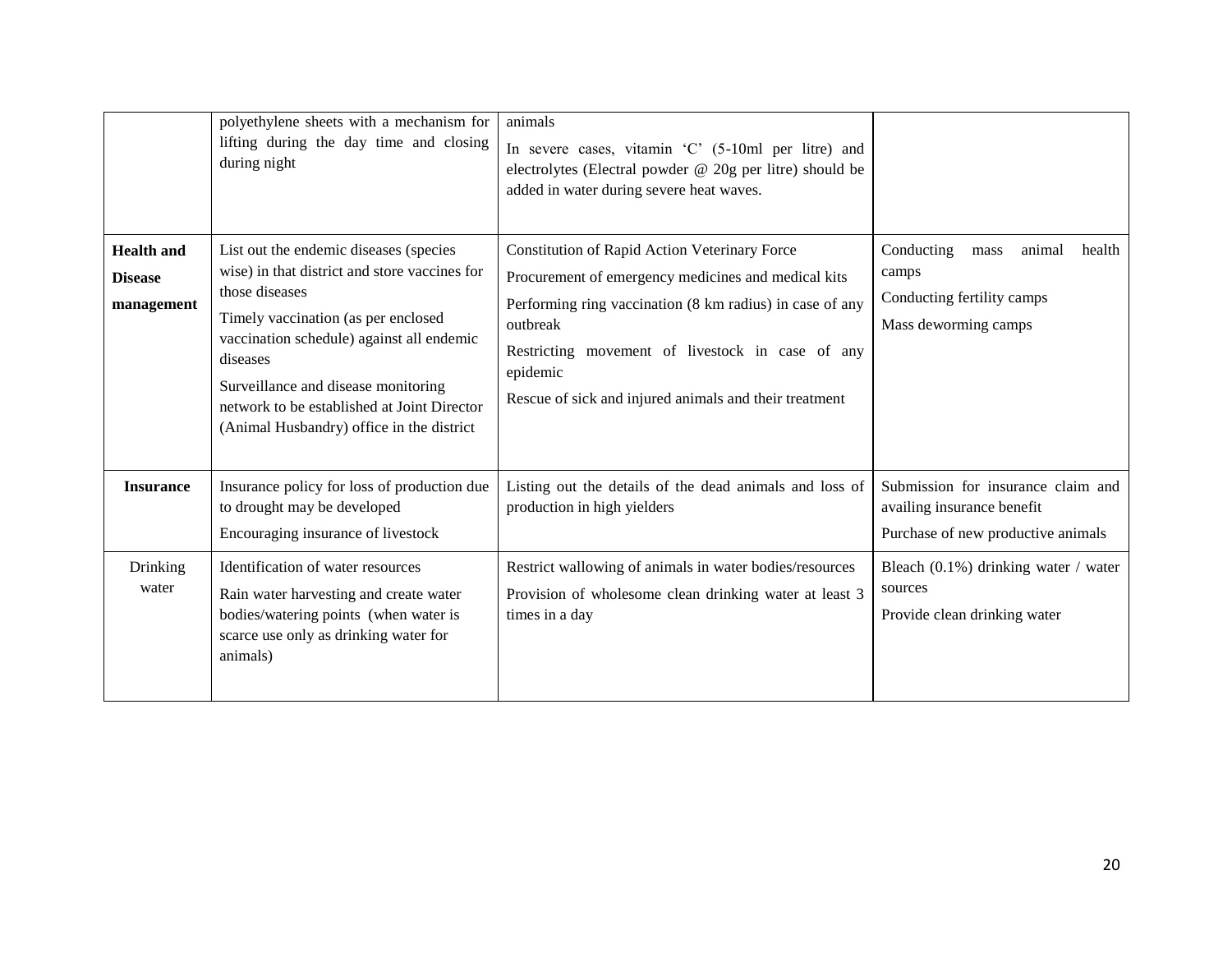|                                                   | polyethylene sheets with a mechanism for<br>lifting during the day time and closing<br>during night                                                                                                                                                                                                                                          | animals<br>In severe cases, vitamin 'C' (5-10ml per litre) and<br>electrolytes (Electral powder @ 20g per litre) should be<br>added in water during severe heat waves.                                                                                                                                 |                                                                                                        |
|---------------------------------------------------|----------------------------------------------------------------------------------------------------------------------------------------------------------------------------------------------------------------------------------------------------------------------------------------------------------------------------------------------|--------------------------------------------------------------------------------------------------------------------------------------------------------------------------------------------------------------------------------------------------------------------------------------------------------|--------------------------------------------------------------------------------------------------------|
| <b>Health</b> and<br><b>Disease</b><br>management | List out the endemic diseases (species<br>wise) in that district and store vaccines for<br>those diseases<br>Timely vaccination (as per enclosed<br>vaccination schedule) against all endemic<br>diseases<br>Surveillance and disease monitoring<br>network to be established at Joint Director<br>(Animal Husbandry) office in the district | Constitution of Rapid Action Veterinary Force<br>Procurement of emergency medicines and medical kits<br>Performing ring vaccination (8 km radius) in case of any<br>outbreak<br>Restricting movement of livestock in case of any<br>epidemic<br>Rescue of sick and injured animals and their treatment | Conducting<br>animal<br>health<br>mass<br>camps<br>Conducting fertility camps<br>Mass deworming camps  |
| <b>Insurance</b>                                  | Insurance policy for loss of production due<br>to drought may be developed<br>Encouraging insurance of livestock                                                                                                                                                                                                                             | Listing out the details of the dead animals and loss of<br>production in high yielders                                                                                                                                                                                                                 | Submission for insurance claim and<br>availing insurance benefit<br>Purchase of new productive animals |
| Drinking<br>water                                 | Identification of water resources<br>Rain water harvesting and create water<br>bodies/watering points (when water is<br>scarce use only as drinking water for<br>animals)                                                                                                                                                                    | Restrict wallowing of animals in water bodies/resources<br>Provision of wholesome clean drinking water at least 3<br>times in a day                                                                                                                                                                    | Bleach (0.1%) drinking water / water<br>sources<br>Provide clean drinking water                        |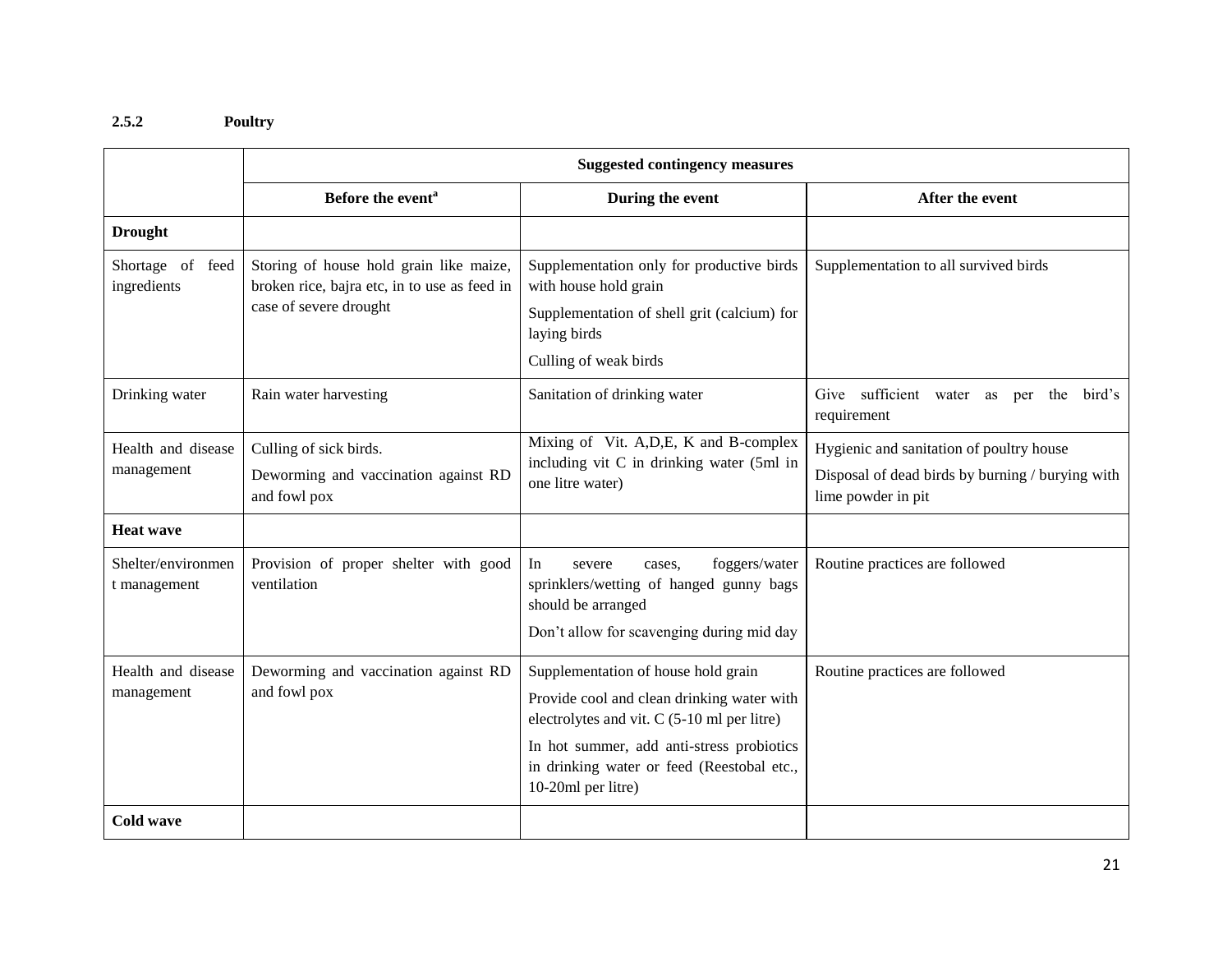## **2.5.2 Poultry**

|                                    | <b>Suggested contingency measures</b>                                                                             |                                                                                                                                                       |                                                                                                                    |
|------------------------------------|-------------------------------------------------------------------------------------------------------------------|-------------------------------------------------------------------------------------------------------------------------------------------------------|--------------------------------------------------------------------------------------------------------------------|
|                                    | Before the event <sup>a</sup>                                                                                     | During the event                                                                                                                                      | After the event                                                                                                    |
| <b>Drought</b>                     |                                                                                                                   |                                                                                                                                                       |                                                                                                                    |
| Shortage of feed<br>ingredients    | Storing of house hold grain like maize,<br>broken rice, bajra etc, in to use as feed in<br>case of severe drought | Supplementation only for productive birds<br>with house hold grain                                                                                    | Supplementation to all survived birds                                                                              |
|                                    |                                                                                                                   | Supplementation of shell grit (calcium) for<br>laying birds                                                                                           |                                                                                                                    |
|                                    |                                                                                                                   | Culling of weak birds                                                                                                                                 |                                                                                                                    |
| Drinking water                     | Rain water harvesting                                                                                             | Sanitation of drinking water                                                                                                                          | Give sufficient water as per the bird's<br>requirement                                                             |
| Health and disease<br>management   | Culling of sick birds.<br>Deworming and vaccination against RD<br>and fowl pox                                    | Mixing of Vit. A, D, E, K and B-complex<br>including vit C in drinking water (5ml in<br>one litre water)                                              | Hygienic and sanitation of poultry house<br>Disposal of dead birds by burning / burying with<br>lime powder in pit |
| <b>Heat wave</b>                   |                                                                                                                   |                                                                                                                                                       |                                                                                                                    |
| Shelter/environmen<br>t management | Provision of proper shelter with good<br>ventilation                                                              | In<br>foggers/water<br>severe<br>cases.<br>sprinklers/wetting of hanged gunny bags<br>should be arranged<br>Don't allow for scavenging during mid day | Routine practices are followed                                                                                     |
| Health and disease                 | Deworming and vaccination against RD                                                                              | Supplementation of house hold grain                                                                                                                   | Routine practices are followed                                                                                     |
| management                         | and fowl pox                                                                                                      | Provide cool and clean drinking water with<br>electrolytes and vit. $C$ (5-10 ml per litre)                                                           |                                                                                                                    |
|                                    |                                                                                                                   | In hot summer, add anti-stress probiotics<br>in drinking water or feed (Reestobal etc.,<br>10-20ml per litre)                                         |                                                                                                                    |
| Cold wave                          |                                                                                                                   |                                                                                                                                                       |                                                                                                                    |